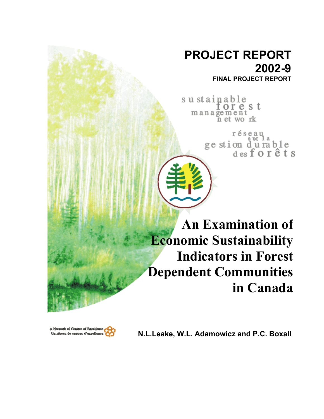# **PROJECT REPORT 2002-9 FINAL PROJECT REPORT**

sustainable orest  $m$  a n a  $\widetilde{g}$  e m  $\widetilde{e}$  n  $\widetilde{f}$  work

> réseau ge stion durable<br>desforêts

**An Examination of Economic Sustainability Indicators in Forest Dependent Communities in Canada**



Us réseau do contres d'excellence **CO** N.L.Leake, W.L. Adamowicz and P.C. Boxall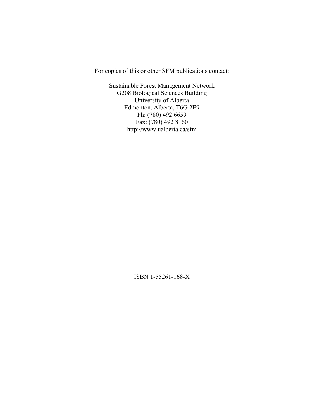For copies of this or other SFM publications contact:

Sustainable Forest Management Network G208 Biological Sciences Building University of Alberta Edmonton, Alberta, T6G 2E9 Ph: (780) 492 6659 Fax: (780) 492 8160 http://www.ualberta.ca/sfm

ISBN 1-55261-168-X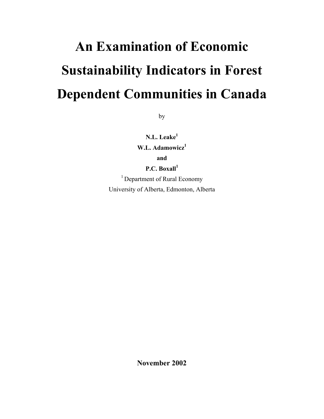# **An Examination of Economic Sustainability Indicators in Forest Dependent Communities in Canada**

by

**N.L. Leake<sup>1</sup>** W.L. Adamowicz<sup>1</sup> **and** 

**P.C. Boxall<sup>1</sup>**

<sup>1</sup> Department of Rural Economy University of Alberta, Edmonton, Alberta

**November 2002**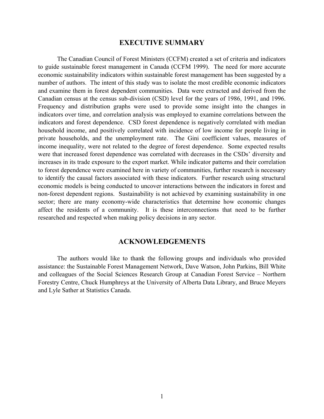# **EXECUTIVE SUMMARY**

 The Canadian Council of Forest Ministers (CCFM) created a set of criteria and indicators to guide sustainable forest management in Canada (CCFM 1999). The need for more accurate economic sustainability indicators within sustainable forest management has been suggested by a number of authors. The intent of this study was to isolate the most credible economic indicators and examine them in forest dependent communities. Data were extracted and derived from the Canadian census at the census sub-division (CSD) level for the years of 1986, 1991, and 1996. Frequency and distribution graphs were used to provide some insight into the changes in indicators over time, and correlation analysis was employed to examine correlations between the indicators and forest dependence. CSD forest dependence is negatively correlated with median household income, and positively correlated with incidence of low income for people living in private households, and the unemployment rate. The Gini coefficient values, measures of income inequality, were not related to the degree of forest dependence. Some expected results were that increased forest dependence was correlated with decreases in the CSDs' diversity and increases in its trade exposure to the export market. While indicator patterns and their correlation to forest dependence were examined here in variety of communities, further research is necessary to identify the causal factors associated with these indicators. Further research using structural economic models is being conducted to uncover interactions between the indicators in forest and non-forest dependent regions. Sustainability is not achieved by examining sustainability in one sector; there are many economy-wide characteristics that determine how economic changes affect the residents of a community. It is these interconnections that need to be further researched and respected when making policy decisions in any sector.

# **ACKNOWLEDGEMENTS**

The authors would like to thank the following groups and individuals who provided assistance: the Sustainable Forest Management Network, Dave Watson, John Parkins, Bill White and colleagues of the Social Sciences Research Group at Canadian Forest Service – Northern Forestry Centre, Chuck Humphreys at the University of Alberta Data Library, and Bruce Meyers and Lyle Sather at Statistics Canada.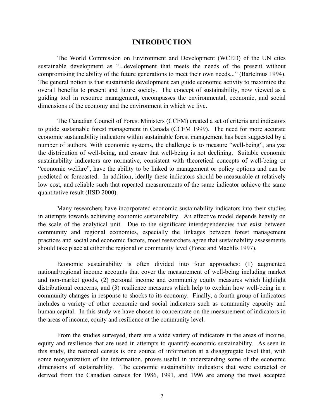# **INTRODUCTION**

The World Commission on Environment and Development (WCED) of the UN cites sustainable development as "...development that meets the needs of the present without compromising the ability of the future generations to meet their own needs..." (Bartelmus 1994). The general notion is that sustainable development can guide economic activity to maximize the overall benefits to present and future society. The concept of sustainability, now viewed as a guiding tool in resource management, encompasses the environmental, economic, and social dimensions of the economy and the environment in which we live.

The Canadian Council of Forest Ministers (CCFM) created a set of criteria and indicators to guide sustainable forest management in Canada (CCFM 1999). The need for more accurate economic sustainability indicators within sustainable forest management has been suggested by a number of authors. With economic systems, the challenge is to measure "well-being", analyze the distribution of well-being, and ensure that well-being is not declining. Suitable economic sustainability indicators are normative, consistent with theoretical concepts of well-being or "economic welfare", have the ability to be linked to management or policy options and can be predicted or forecasted. In addition, ideally these indicators should be measurable at relatively low cost, and reliable such that repeated measurements of the same indicator achieve the same quantitative result (IISD 2000).

Many researchers have incorporated economic sustainability indicators into their studies in attempts towards achieving economic sustainability. An effective model depends heavily on the scale of the analytical unit. Due to the significant interdependencies that exist between community and regional economies, especially the linkages between forest management practices and social and economic factors, most researchers agree that sustainability assessments should take place at either the regional or community level (Force and Machlis 1997).

Economic sustainability is often divided into four approaches: (1) augmented national/regional income accounts that cover the measurement of well-being including market and non-market goods, (2) personal income and community equity measures which highlight distributional concerns, and (3) resilience measures which help to explain how well-being in a community changes in response to shocks to its economy. Finally, a fourth group of indicators includes a variety of other economic and social indicators such as community capacity and human capital. In this study we have chosen to concentrate on the measurement of indicators in the areas of income, equity and resilience at the community level.

From the studies surveyed, there are a wide variety of indicators in the areas of income, equity and resilience that are used in attempts to quantify economic sustainability. As seen in this study, the national census is one source of information at a disaggregate level that, with some reorganization of the information, proves useful in understanding some of the economic dimensions of sustainability. The economic sustainability indicators that were extracted or derived from the Canadian census for 1986, 1991, and 1996 are among the most accepted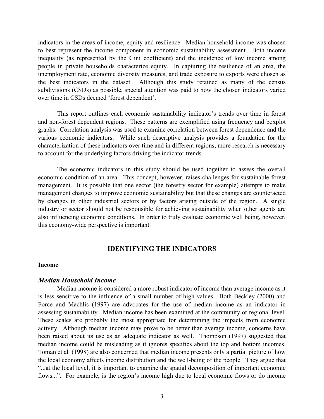indicators in the areas of income, equity and resilience. Median household income was chosen to best represent the income component in economic sustainability assessment. Both income inequality (as represented by the Gini coefficient) and the incidence of low income among people in private households characterize equity. In capturing the resilience of an area, the unemployment rate, economic diversity measures, and trade exposure to exports were chosen as the best indicators in the dataset. Although this study retained as many of the census subdivisions (CSDs) as possible, special attention was paid to how the chosen indicators varied over time in CSDs deemed 'forest dependent'.

This report outlines each economic sustainability indicator's trends over time in forest and non-forest dependent regions. These patterns are exemplified using frequency and boxplot graphs. Correlation analysis was used to examine correlation between forest dependence and the various economic indicators. While such descriptive analysis provides a foundation for the characterization of these indicators over time and in different regions, more research is necessary to account for the underlying factors driving the indicator trends.

The economic indicators in this study should be used together to assess the overall economic condition of an area. This concept, however, raises challenges for sustainable forest management. It is possible that one sector (the forestry sector for example) attempts to make management changes to improve economic sustainability but that these changes are counteracted by changes in other industrial sectors or by factors arising outside of the region. A single industry or sector should not be responsible for achieving sustainability when other agents are also influencing economic conditions. In order to truly evaluate economic well being, however, this economy-wide perspective is important.

# **IDENTIFYING THE INDICATORS**

#### **Income**

#### *Median Household Income*

Median income is considered a more robust indicator of income than average income as it is less sensitive to the influence of a small number of high values. Both Beckley (2000) and Force and Machlis (1997) are advocates for the use of median income as an indicator in assessing sustainability. Median income has been examined at the community or regional level. These scales are probably the most appropriate for determining the impacts from economic activity. Although median income may prove to be better than average income, concerns have been raised about its use as an adequate indicator as well. Thompson (1997) suggested that median income could be misleading as it ignores specifics about the top and bottom incomes. Toman et al*.* (1998) are also concerned that median income presents only a partial picture of how the local economy affects income distribution and the well-being of the people. They argue that "...at the local level, it is important to examine the spatial decomposition of important economic flows...". For example, is the region's income high due to local economic flows or do income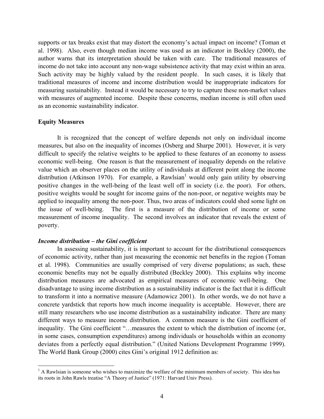supports or tax breaks exist that may distort the economy's actual impact on income? (Toman et al. 1998). Also, even though median income was used as an indicator in Beckley (2000), the author warns that its interpretation should be taken with care. The traditional measures of income do not take into account any non-wage subsistence activity that may exist within an area. Such activity may be highly valued by the resident people. In such cases, it is likely that traditional measures of income and income distribution would be inappropriate indicators for measuring sustainability. Instead it would be necessary to try to capture these non-market values with measures of augmented income. Despite these concerns, median income is still often used as an economic sustainability indicator.

#### **Equity Measures**

 $\overline{a}$ 

It is recognized that the concept of welfare depends not only on individual income measures, but also on the inequality of incomes (Osberg and Sharpe 2001). However, it is very difficult to specify the relative weights to be applied to these features of an economy to assess economic well-being. One reason is that the measurement of inequality depends on the relative value which an observer places on the utility of individuals at different point along the income distribution (Atkinson 1970). For example, a Rawlsian<sup>1</sup> would only gain utility by observing positive changes in the well-being of the least well off in society (i.e. the poor). For others, positive weights would be sought for income gains of the non-poor, or negative weights may be applied to inequality among the non-poor. Thus, two areas of indicators could shed some light on the issue of well-being. The first is a measure of the distribution of income or some measurement of income inequality. The second involves an indicator that reveals the extent of poverty.

#### *Income distribution – the Gini coefficient*

In assessing sustainability, it is important to account for the distributional consequences of economic activity, rather than just measuring the economic net benefits in the region (Toman et al. 1998). Communities are usually comprised of very diverse populations; as such, these economic benefits may not be equally distributed (Beckley 2000). This explains why income distribution measures are advocated as empirical measures of economic well-being. One disadvantage to using income distribution as a sustainability indicator is the fact that it is difficult to transform it into a normative measure (Adamowicz 2001). In other words, we do not have a concrete yardstick that reports how much income inequality is acceptable. However, there are still many researchers who use income distribution as a sustainability indicator. There are many different ways to measure income distribution. A common measure is the Gini coefficient of inequality. The Gini coefficient "…measures the extent to which the distribution of income (or, in some cases, consumption expenditures) among individuals or households within an economy deviates from a perfectly equal distribution." (United Nations Development Programme 1999). The World Bank Group (2000) cites Gini's original 1912 definition as:

 $<sup>1</sup>$  A Rawlsian is someone who wishes to maximize the welfare of the minimum members of society. This idea has</sup> its roots in John Rawls treatise "A Theory of Justice" (1971: Harvard Univ Press).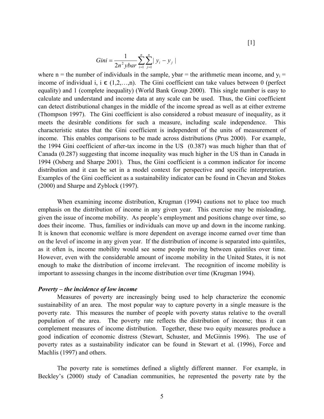$[1]$ 

Gini = 
$$
\frac{1}{2n^2 ybar} \sum_{i=1}^n \sum_{j=1}^n |y_i - y_j|
$$

where n = the number of individuals in the sample, ybar = the arithmetic mean income, and  $y_i$  = income of individual i,  $i \in (1,2,...,n)$ . The Gini coefficient can take values between 0 (perfect equality) and 1 (complete inequality) (World Bank Group 2000). This single number is easy to calculate and understand and income data at any scale can be used. Thus, the Gini coefficient can detect distributional changes in the middle of the income spread as well as at either extreme (Thompson 1997). The Gini coefficient is also considered a robust measure of inequality, as it meets the desirable conditions for such a measure, including scale independence. This characteristic states that the Gini coefficient is independent of the units of measurement of income. This enables comparisons to be made across distributions (Prus 2000). For example, the 1994 Gini coefficient of after-tax income in the US (0.387) was much higher than that of Canada (0.287) suggesting that income inequality was much higher in the US than in Canada in 1994 (Osberg and Sharpe 2001). Thus, the Gini coefficient is a common indicator for income distribution and it can be set in a model context for perspective and specific interpretation. Examples of the Gini coefficient as a sustainability indicator can be found in Chevan and Stokes (2000) and Sharpe and Zyblock (1997).

When examining income distribution, Krugman (1994) cautions not to place too much emphasis on the distribution of income in any given year. This exercise may be misleading, given the issue of income mobility. As people's employment and positions change over time, so does their income. Thus, families or individuals can move up and down in the income ranking. It is known that economic welfare is more dependent on average income earned over time than on the level of income in any given year. If the distribution of income is separated into quintiles, as it often is, income mobility would see some people moving between quintiles over time. However, even with the considerable amount of income mobility in the United States, it is not enough to make the distribution of income irrelevant. The recognition of income mobility is important to assessing changes in the income distribution over time (Krugman 1994).

#### *Poverty – the incidence of low income*

Measures of poverty are increasingly being used to help characterize the economic sustainability of an area. The most popular way to capture poverty in a single measure is the poverty rate. This measures the number of people with poverty status relative to the overall population of the area. The poverty rate reflects the distribution of income; thus it can complement measures of income distribution. Together, these two equity measures produce a good indication of economic distress (Stewart, Schuster, and McGinnis 1996). The use of poverty rates as a sustainability indicator can be found in Stewart et al. (1996), Force and Machlis (1997) and others.

The poverty rate is sometimes defined a slightly different manner. For example, in Beckley's (2000) study of Canadian communities, he represented the poverty rate by the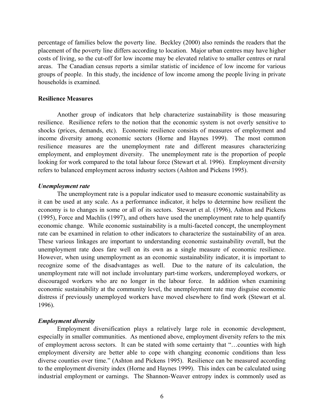percentage of families below the poverty line. Beckley (2000) also reminds the readers that the placement of the poverty line differs according to location. Major urban centres may have higher costs of living, so the cut-off for low income may be elevated relative to smaller centres or rural areas. The Canadian census reports a similar statistic of incidence of low income for various groups of people. In this study, the incidence of low income among the people living in private households is examined.

#### **Resilience Measures**

Another group of indicators that help characterize sustainability is those measuring resilience. Resilience refers to the notion that the economic system is not overly sensitive to shocks (prices, demands, etc). Economic resilience consists of measures of employment and income diversity among economic sectors (Horne and Haynes 1999). The most common resilience measures are the unemployment rate and different measures characterizing employment, and employment diversity. The unemployment rate is the proportion of people looking for work compared to the total labour force (Stewart et al. 1996). Employment diversity refers to balanced employment across industry sectors (Ashton and Pickens 1995).

#### *Unemployment rate*

The unemployment rate is a popular indicator used to measure economic sustainability as it can be used at any scale. As a performance indicator, it helps to determine how resilient the economy is to changes in some or all of its sectors. Stewart et al. (1996), Ashton and Pickens (1995), Force and Machlis (1997), and others have used the unemployment rate to help quantify economic change. While economic sustainability is a multi-faceted concept, the unemployment rate can be examined in relation to other indicators to characterize the sustainability of an area. These various linkages are important to understanding economic sustainability overall, but the unemployment rate does fare well on its own as a single measure of economic resilience. However, when using unemployment as an economic sustainability indicator, it is important to recognize some of the disadvantages as well. Due to the nature of its calculation, the unemployment rate will not include involuntary part-time workers, underemployed workers, or discouraged workers who are no longer in the labour force. In addition when examining economic sustainability at the community level, the unemployment rate may disguise economic distress if previously unemployed workers have moved elsewhere to find work (Stewart et al. 1996).

# *Employment diversity*

Employment diversification plays a relatively large role in economic development, especially in smaller communities. As mentioned above, employment diversity refers to the mix of employment across sectors. It can be stated with some certainty that "…counties with high employment diversity are better able to cope with changing economic conditions than less diverse counties over time." (Ashton and Pickens 1995). Resilience can be measured according to the employment diversity index (Horne and Haynes 1999). This index can be calculated using industrial employment or earnings. The Shannon-Weaver entropy index is commonly used as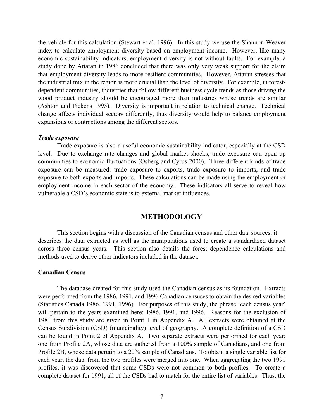the vehicle for this calculation (Stewart et al. 1996). In this study we use the Shannon-Weaver index to calculate employment diversity based on employment income. However, like many economic sustainability indicators, employment diversity is not without faults. For example, a study done by Attaran in 1986 concluded that there was only very weak support for the claim that employment diversity leads to more resilient communities. However, Attaran stresses that the industrial mix in the region is more crucial than the level of diversity. For example, in forestdependent communities, industries that follow different business cycle trends as those driving the wood product industry should be encouraged more than industries whose trends are similar (Ashton and Pickens 1995). Diversity is important in relation to technical change. Technical change affects individual sectors differently, thus diversity would help to balance employment expansions or contractions among the different sectors.

#### *Trade exposure*

Trade exposure is also a useful economic sustainability indicator, especially at the CSD level. Due to exchange rate changes and global market shocks, trade exposure can open up communities to economic fluctuations (Osberg and Cyrus 2000). Three different kinds of trade exposure can be measured: trade exposure to exports, trade exposure to imports, and trade exposure to both exports and imports. These calculations can be made using the employment or employment income in each sector of the economy. These indicators all serve to reveal how vulnerable a CSD's economic state is to external market influences.

# **METHODOLOGY**

This section begins with a discussion of the Canadian census and other data sources; it describes the data extracted as well as the manipulations used to create a standardized dataset across three census years. This section also details the forest dependence calculations and methods used to derive other indicators included in the dataset.

#### **Canadian Census**

 The database created for this study used the Canadian census as its foundation. Extracts were performed from the 1986, 1991, and 1996 Canadian censuses to obtain the desired variables (Statistics Canada 1986, 1991, 1996). For purposes of this study, the phrase 'each census year' will pertain to the years examined here: 1986, 1991, and 1996. Reasons for the exclusion of 1981 from this study are given in Point 1 in Appendix A. All extracts were obtained at the Census Subdivision (CSD) (municipality) level of geography. A complete definition of a CSD can be found in Point 2 of Appendix A. Two separate extracts were performed for each year; one from Profile 2A, whose data are gathered from a 100% sample of Canadians, and one from Profile 2B, whose data pertain to a 20% sample of Canadians. To obtain a single variable list for each year, the data from the two profiles were merged into one. When aggregating the two 1991 profiles, it was discovered that some CSDs were not common to both profiles. To create a complete dataset for 1991, all of the CSDs had to match for the entire list of variables. Thus, the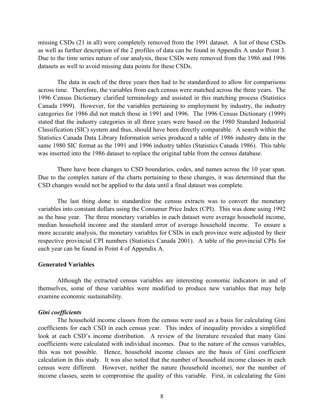missing CSDs (21 in all) were completely removed from the 1991 dataset. A list of these CSDs as well as further description of the 2 profiles of data can be found in Appendix A under Point 3. Due to the time series nature of our analysis, these CSDs were removed from the 1986 and 1996 datasets as well to avoid missing data points for these CSDs.

 The data in each of the three years then had to be standardized to allow for comparisons across time. Therefore, the variables from each census were matched across the three years. The 1996 Census Dictionary clarified terminology and assisted in this matching process (Statistics Canada 1999). However, for the variables pertaining to employment by industry, the industry categories for 1986 did not match those in 1991 and 1996. The 1996 Census Dictionary (1999) stated that the industry categories in all three years were based on the 1980 Standard Industrial Classification (SIC) system and thus, should have been directly comparable. A search within the Statistics Canada Data Library Information series produced a table of 1986 industry data in the same 1980 SIC format as the 1991 and 1996 industry tables (Statistics Canada 1986). This table was inserted into the 1986 dataset to replace the original table from the census database.

There have been changes to CSD boundaries, codes, and names across the 10 year span. Due to the complex nature of the charts pertaining to these changes, it was determined that the CSD changes would not be applied to the data until a final dataset was complete.

The last thing done to standardize the census extracts was to convert the monetary variables into constant dollars using the Consumer Price Index (CPI). This was done using 1992 as the base year. The three monetary variables in each dataset were average household income, median household income and the standard error of average household income. To ensure a more accurate analysis, the monetary variables for CSDs in each province were adjusted by their respective provincial CPI numbers (Statistics Canada 2001). A table of the provincial CPIs for each year can be found in Point 4 of Appendix A.

#### **Generated Variables**

Although the extracted census variables are interesting economic indicators in and of themselves, some of these variables were modified to produce new variables that may help examine economic sustainability.

#### *Gini coefficients*

The household income classes from the census were used as a basis for calculating Gini coefficients for each CSD in each census year. This index of inequality provides a simplified look at each CSD's income distribution. A review of the literature revealed that many Gini coefficients were calculated with individual incomes. Due to the nature of the census variables, this was not possible. Hence, household income classes are the basis of Gini coefficient calculation in this study. It was also noted that the number of household income classes in each census were different. However, neither the nature (household income), nor the number of income classes, seem to compromise the quality of this variable. First, in calculating the Gini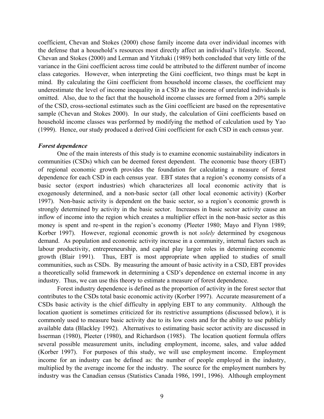coefficient, Chevan and Stokes (2000) chose family income data over individual incomes with the defense that a household's resources most directly affect an individual's lifestyle. Second, Chevan and Stokes (2000) and Lerman and Yitzhaki (1989) both concluded that very little of the variance in the Gini coefficient across time could be attributed to the different number of income class categories. However, when interpreting the Gini coefficient, two things must be kept in mind. By calculating the Gini coefficient from household income classes, the coefficient may underestimate the level of income inequality in a CSD as the income of unrelated individuals is omitted. Also, due to the fact that the household income classes are formed from a 20% sample of the CSD, cross-sectional estimates such as the Gini coefficient are based on the representative sample (Chevan and Stokes 2000). In our study, the calculation of Gini coefficients based on household income classes was performed by modifying the method of calculation used by Yao (1999). Hence, our study produced a derived Gini coefficient for each CSD in each census year.

#### *Forest dependence*

One of the main interests of this study is to examine economic sustainability indicators in communities (CSDs) which can be deemed forest dependent. The economic base theory (EBT) of regional economic growth provides the foundation for calculating a measure of forest dependence for each CSD in each census year. EBT states that a region's economy consists of a basic sector (export industries) which characterizes all local economic activity that is exogenously determined, and a non-basic sector (all other local economic activity) (Korber 1997). Non-basic activity is dependent on the basic sector, so a region's economic growth is strongly determined by activity in the basic sector. Increases in basic sector activity cause an inflow of income into the region which creates a multiplier effect in the non-basic sector as this money is spent and re-spent in the region's economy (Pleeter 1980; Mayo and Flynn 1989; Korber 1997). However, regional economic growth is not *solely* determined by exogenous demand. As population and economic activity increase in a community, internal factors such as labour productivity, entrepreneurship, and capital play larger roles in determining economic growth (Blair 1991). Thus, EBT is most appropriate when applied to studies of small communities, such as CSDs. By measuring the amount of basic activity in a CSD, EBT provides a theoretically solid framework in determining a CSD's dependence on external income in any industry. Thus, we can use this theory to estimate a measure of forest dependence.

Forest industry dependence is defined as the proportion of activity in the forest sector that contributes to the CSDs total basic economic activity (Korber 1997). Accurate measurement of a CSDs basic activity is the chief difficulty in applying EBT to any community. Although the location quotient is sometimes criticized for its restrictive assumptions (discussed below), it is commonly used to measure basic activity due to its low costs and for the ability to use publicly available data (Blackley 1992). Alternatives to estimating basic sector activity are discussed in Isserman (1980), Pleeter (1980), and Richardson (1985). The location quotient formula offers several possible measurement units, including employment, income, sales, and value added (Korber 1997). For purposes of this study, we will use employment income. Employment income for an industry can be defined as: the number of people employed in the industry, multiplied by the average income for the industry. The source for the employment numbers by industry was the Canadian census (Statistics Canada 1986, 1991, 1996). Although employment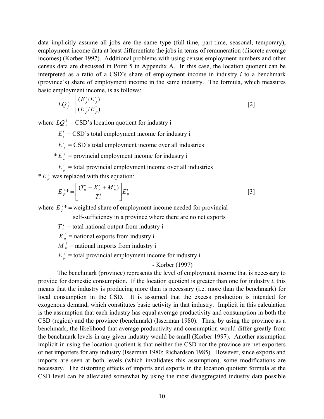data implicitly assume all jobs are the same type (full-time, part-time, seasonal, temporary), employment income data at least differentiate the jobs in terms of remuneration (discrete average incomes) (Korber 1997). Additional problems with using census employment numbers and other census data are discussed in Point 5 in Appendix A. In this case, the location quotient can be interpreted as a ratio of a CSD's share of employment income in industry *i* to a benchmark (province's) share of employment income in the same industry. The formula, which measures basic employment income, is as follows:

$$
LQ_j^i = \left[ \frac{(E_j^i / E_j^T)}{(E_{p}^i / E_p^T)} \right]
$$
 [2]

where  $LQ_i^i = CSD's$  location quotient for industry i

 $E_i^i$  = CSD's total employment income for industry i

 $E_i^T = CSD$ 's total employment income over all industries

\*  $E_n^i$  = provincial employment income for industry i

 $E_p^T$  = total provincial employment income over all industries  $* E_p^i$  was replaced with this equation:

$$
E_p^{i*} = \left[ \frac{(T_n^i - X_n^i + M_n^i)}{T_n^i} \right] E_p^i \tag{3}
$$

where  $E_p^i$  = weighted share of employment income needed for provincial

self-sufficiency in a province where there are no net exports

 $T_n^i$  = total national output from industry i

 $X_n^i$  = national exports from industry i

 $M_n^i$  = national imports from industry i

 $E_p^i$  = total provincial employment income for industry i

- Korber (1997)

The benchmark (province) represents the level of employment income that is necessary to provide for domestic consumption. If the location quotient is greater than one for industry *i*, this means that the industry is producing more than is necessary (i.e. more than the benchmark) for local consumption in the CSD. It is assumed that the excess production is intended for exogenous demand, which constitutes basic activity in that industry. Implicit in this calculation is the assumption that each industry has equal average productivity and consumption in both the CSD (region) and the province (benchmark) (Isserman 1980). Thus, by using the province as a benchmark, the likelihood that average productivity and consumption would differ greatly from the benchmark levels in any given industry would be small (Korber 1997). Another assumption implicit in using the location quotient is that neither the CSD nor the province are net exporters or net importers for any industry (Isserman 1980; Richardson 1985). However, since exports and imports are seen at both levels (which invalidates this assumption), some modifications are necessary. The distorting effects of imports and exports in the location quotient formula at the CSD level can be alleviated somewhat by using the most disaggregated industry data possible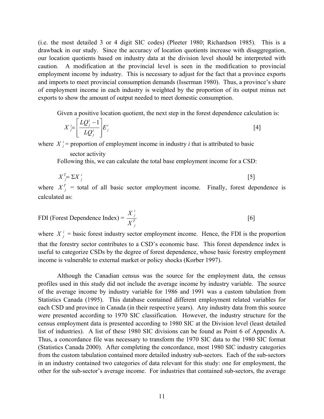(i.e. the most detailed 3 or 4 digit SIC codes) (Pleeter 1980; Richardson 1985). This is a drawback in our study. Since the accuracy of location quotients increase with disaggregation, our location quotients based on industry data at the division level should be interpreted with caution. A modification at the provincial level is seen in the modification to provincial employment income by industry. This is necessary to adjust for the fact that a province exports and imports to meet provincial consumption demands (Isserman 1980). Thus, a province's share of employment income in each industry is weighted by the proportion of its output minus net exports to show the amount of output needed to meet domestic consumption.

Given a positive location quotient, the next step in the forest dependence calculation is:

$$
X_j^i = \left[ \frac{LQ_j^i - 1}{LQ_j^i} \right] E_j^i \tag{4}
$$

where  $X_j^i$  = proportion of employment income in industry *i* that is attributed to basic

#### sector activity

Following this, we can calculate the total base employment income for a CSD:

$$
X_{j}^{T} = \sum X_{j}^{i} \tag{5}
$$

where  $X_j^T$  = total of all basic sector employment income. Finally, forest dependence is calculated as:

FDI (Forest Dependence Index) = 
$$
\frac{X_j^i}{X_j^T}
$$
 [6]

where  $X_j^i$  = basic forest industry sector employment income. Hence, the FDI is the proportion that the forestry sector contributes to a CSD's economic base. This forest dependence index is useful to categorize CSDs by the degree of forest dependence, whose basic forestry employment income is vulnerable to external market or policy shocks (Korber 1997).

Although the Canadian census was the source for the employment data, the census profiles used in this study did not include the average income by industry variable. The source of the average income by industry variable for 1986 and 1991 was a custom tabulation from Statistics Canada (1995). This database contained different employment related variables for each CSD and province in Canada (in their respective years). Any industry data from this source were presented according to 1970 SIC classification. However, the industry structure for the census employment data is presented according to 1980 SIC at the Division level (least detailed list of industries). A list of these 1980 SIC divisions can be found as Point 6 of Appendix A. Thus, a concordance file was necessary to transform the 1970 SIC data to the 1980 SIC format (Statistics Canada 2000). After completing the concordance, most 1980 SIC industry categories from the custom tabulation contained more detailed industry sub-sectors. Each of the sub-sectors in an industry contained two categories of data relevant for this study: one for employment, the other for the sub-sector's average income. For industries that contained sub-sectors, the average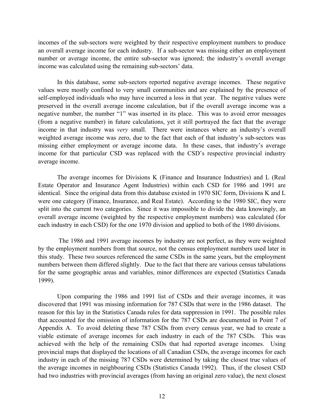incomes of the sub-sectors were weighted by their respective employment numbers to produce an overall average income for each industry. If a sub-sector was missing either an employment number or average income, the entire sub-sector was ignored; the industry's overall average income was calculated using the remaining sub-sectors' data.

In this database, some sub-sectors reported negative average incomes. These negative values were mostly confined to very small communities and are explained by the presence of self-employed individuals who may have incurred a loss in that year. The negative values were preserved in the overall average income calculation, but if the overall average income was a negative number, the number "1" was inserted in its place. This was to avoid error messages (from a negative number) in future calculations, yet it still portrayed the fact that the average income in that industry was *very* small. There were instances where an industry's overall weighted average income was zero, due to the fact that each of that industry's sub-sectors was missing either employment or average income data. In these cases, that industry's average income for that particular CSD was replaced with the CSD's respective provincial industry average income.

 The average incomes for Divisions K (Finance and Insurance Industries) and L (Real Estate Operator and Insurance Agent Industries) within each CSD for 1986 and 1991 are identical. Since the original data from this database existed in 1970 SIC form, Divisions K and L were one category (Finance, Insurance, and Real Estate). According to the 1980 SIC, they were split into the current two categories. Since it was impossible to divide the data knowingly, an overall average income (weighted by the respective employment numbers) was calculated (for each industry in each CSD) for the one 1970 division and applied to both of the 1980 divisions.

 The 1986 and 1991 average incomes by industry are not perfect, as they were weighted by the employment numbers from that source, not the census employment numbers used later in this study. These two sources referenced the same CSDs in the same years, but the employment numbers between them differed slightly. Due to the fact that there are various census tabulations for the same geographic areas and variables, minor differences are expected (Statistics Canada 1999).

 Upon comparing the 1986 and 1991 list of CSDs and their average incomes, it was discovered that 1991 was missing information for 787 CSDs that were in the 1986 dataset. The reason for this lay in the Statistics Canada rules for data suppression in 1991. The possible rules that accounted for the omission of information for the 787 CSDs are documented in Point 7 of Appendix A. To avoid deleting these 787 CSDs from every census year, we had to create a viable estimate of average incomes for each industry in each of the 787 CSDs. This was achieved with the help of the remaining CSDs that had reported average incomes. Using provincial maps that displayed the locations of all Canadian CSDs, the average incomes for each industry in each of the missing 787 CSDs were determined by taking the closest true values of the average incomes in neighbouring CSDs (Statistics Canada 1992). Thus, if the closest CSD had two industries with provincial averages (from having an original zero value), the next closest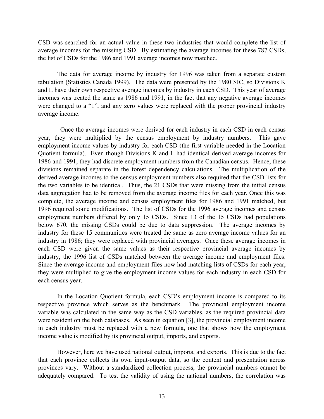CSD was searched for an actual value in these two industries that would complete the list of average incomes for the missing CSD. By estimating the average incomes for these 787 CSDs, the list of CSDs for the 1986 and 1991 average incomes now matched.

The data for average income by industry for 1996 was taken from a separate custom tabulation (Statistics Canada 1999). The data were presented by the 1980 SIC, so Divisions K and L have their own respective average incomes by industry in each CSD. This year of average incomes was treated the same as 1986 and 1991, in the fact that any negative average incomes were changed to a "1", and any zero values were replaced with the proper provincial industry average income.

 Once the average incomes were derived for each industry in each CSD in each census year, they were multiplied by the census employment by industry numbers. This gave employment income values by industry for each CSD (the first variable needed in the Location Quotient formula). Even though Divisions K and L had identical derived average incomes for 1986 and 1991, they had discrete employment numbers from the Canadian census. Hence, these divisions remained separate in the forest dependency calculations. The multiplication of the derived average incomes to the census employment numbers also required that the CSD lists for the two variables to be identical. Thus, the 21 CSDs that were missing from the initial census data aggregation had to be removed from the average income files for each year. Once this was complete, the average income and census employment files for 1986 and 1991 matched, but 1996 required some modifications. The list of CSDs for the 1996 average incomes and census employment numbers differed by only 15 CSDs. Since 13 of the 15 CSDs had populations below 670, the missing CSDs could be due to data suppression. The average incomes by industry for these 15 communities were treated the same as zero average income values for an industry in 1986; they were replaced with provincial averages. Once these average incomes in each CSD were given the same values as their respective provincial average incomes by industry, the 1996 list of CSDs matched between the average income and employment files. Since the average income and employment files now had matching lists of CSDs for each year, they were multiplied to give the employment income values for each industry in each CSD for each census year.

In the Location Quotient formula, each CSD's employment income is compared to its respective province which serves as the benchmark. The provincial employment income variable was calculated in the same way as the CSD variables, as the required provincial data were resident on the both databases.As seen in equation [3], the provincial employment income in each industry must be replaced with a new formula, one that shows how the employment income value is modified by its provincial output, imports, and exports.

However, here we have used national output, imports, and exports. This is due to the fact that each province collects its own input-output data, so the content and presentation across provinces vary. Without a standardized collection process, the provincial numbers cannot be adequately compared. To test the validity of using the national numbers, the correlation was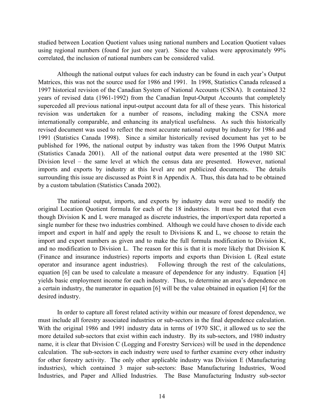studied between Location Quotient values using national numbers and Location Quotient values using regional numbers (found for just one year). Since the values were approximately 99% correlated, the inclusion of national numbers can be considered valid.

Although the national output values for each industry can be found in each year's Output Matrices, this was not the source used for 1986 and 1991. In 1998, Statistics Canada released a 1997 historical revision of the Canadian System of National Accounts (CSNA). It contained 32 years of revised data (1961-1992) from the Canadian Input-Output Accounts that completely superceded all previous national input-output account data for all of these years. This historical revision was undertaken for a number of reasons, including making the CSNA more internationally comparable, and enhancing its analytical usefulness. As such this historically revised document was used to reflect the most accurate national output by industry for 1986 and 1991 (Statistics Canada 1998). Since a similar historically revised document has yet to be published for 1996, the national output by industry was taken from the 1996 Output Matrix (Statistics Canada 2001). All of the national output data were presented at the 1980 SIC Division level – the same level at which the census data are presented. However, national imports and exports by industry at this level are not publicized documents. The details surrounding this issue are discussed as Point 8 in Appendix A. Thus, this data had to be obtained by a custom tabulation (Statistics Canada 2002).

The national output, imports, and exports by industry data were used to modify the original Location Quotient formula for each of the 18 industries. It must be noted that even though Division K and L were managed as discrete industries, the import/export data reported a single number for these two industries combined. Although we could have chosen to divide each import and export in half and apply the result to Divisions K and L, we choose to retain the import and export numbers as given and to make the full formula modification to Division K, and no modification to Division L. The reason for this is that it is more likely that Division K (Finance and insurance industries) reports imports and exports than Division L (Real estate operator and insurance agent industries). Following through the rest of the calculations, equation [6] can be used to calculate a measure of dependence for any industry. Equation [4] yields basic employment income for each industry. Thus, to determine an area's dependence on a certain industry, the numerator in equation [6] will be the value obtained in equation [4] for the desired industry.

In order to capture all forest related activity within our measure of forest dependence, we must include all forestry associated industries or sub-sectors in the final dependence calculation. With the original 1986 and 1991 industry data in terms of 1970 SIC, it allowed us to see the more detailed sub-sectors that exist within each industry. By its sub-sectors, and 1980 industry name, it is clear that Division C (Logging and Forestry Services) will be used in the dependence calculation. The sub-sectors in each industry were used to further examine every other industry for other forestry activity. The only other applicable industry was Division E (Manufacturing industries), which contained 3 major sub-sectors: Base Manufacturing Industries, Wood Industries, and Paper and Allied Industries. The Base Manufacturing Industry sub-sector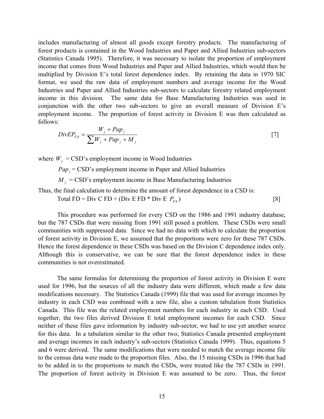includes manufacturing of almost all goods except forestry products. The manufacturing of forest products is contained in the Wood Industries and Paper and Allied Industries sub-sectors (Statistics Canada 1995). Therefore, it was necessary to isolate the proportion of employment income that comes from Wood Industries and Paper and Allied Industries, which would then be multiplied by Division E's total forest dependence index. By retaining the data in 1970 SIC format, we used the raw data of employment numbers and average income for the Wood Industries and Paper and Allied Industries sub-sectors to calculate forestry related employment income in this division. The same data for Base Manufacturing Industries was used in conjunction with the other two sub-sectors to give an overall measure of Division E's employment income. The proportion of forest activity in Division E was then calculated as follows:

$$
DivEP_{FA} = \frac{W_j + Pap_j}{\sum W_j + Pap_j + M_j}
$$
 [7]

where  $W_i$  = CSD's employment income in Wood Industries

 $Pap_i = CSD's$  employment income in Paper and Allied Industries

 $M_i$  = CSD's employment income in Base Manufacturing Industries

Thus, the final calculation to determine the amount of forest dependence in a CSD is:

Total FD = Div C FD + (Div E FD \* Div E  $P_{FA}$ ) [8]

This procedure was performed for every CSD on the 1986 and 1991 industry database, but the 787 CSDs that were missing from 1991 still posed a problem. These CSDs were small communities with suppressed data. Since we had no data with which to calculate the proportion of forest activity in Division E, we assumed that the proportions were zero for these 787 CSDs. Hence the forest dependence in these CSDs was based on the Division C dependence index only. Although this is conservative, we can be sure that the forest dependence index in these communities is not overestimated.

The same formulas for determining the proportion of forest activity in Division E were used for 1996, but the sources of all the industry data were different, which made a few data modifications necessary. The Statistics Canada (1999) file that was used for average incomes by industry in each CSD was combined with a new file, also a custom tabulation from Statistics Canada. This file was the related employment numbers for each industry in each CSD. Used together, the two files derived Division E total employment incomes for each CSD. Since neither of these files gave information by industry sub-sector, we had to use yet another source for this data. In a tabulation similar to the other two, Statistics Canada presented employment and average incomes in each industry's sub-sectors (Statistics Canada 1999). Thus, equations 5 and 6 were derived. The same modifications that were needed to match the average income file to the census data were made to the proportion files. Also, the 15 missing CSDs in 1996 that had to be added in to the proportions to match the CSDs, were treated like the 787 CSDs in 1991. The proportion of forest activity in Division E was assumed to be zero. Thus, the forest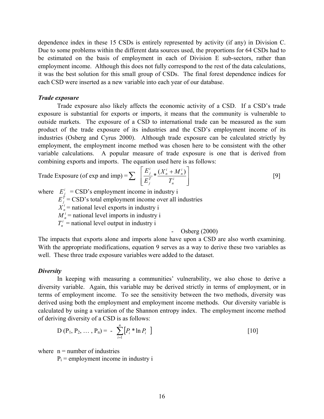dependence index in these 15 CSDs is entirely represented by activity (if any) in Division C. Due to some problems within the different data sources used, the proportions for 64 CSDs had to be estimated on the basis of employment in each of Division E sub-sectors, rather than employment income. Although this does not fully correspond to the rest of the data calculations, it was the best solution for this small group of CSDs. The final forest dependence indices for each CSD were inserted as a new variable into each year of our database.

#### *Trade exposure*

Trade exposure also likely affects the economic activity of a CSD. If a CSD's trade exposure is substantial for exports or imports, it means that the community is vulnerable to outside markets. The exposure of a CSD to international trade can be measured as the sum product of the trade exposure of its industries and the CSD's employment income of its industries (Osberg and Cyrus 2000). Although trade exposure can be calculated strictly by employment, the employment income method was chosen here to be consistent with the other variable calculations. A popular measure of trade exposure is one that is derived from combining exports and imports. The equation used here is as follows:

$$
\text{Trade Exposure (of exp and imp)} = \sum \left[ \frac{E_j^i}{E_j^T} * \frac{(X_n^i + M_n^i)}{T_n^i} \right] \tag{9}
$$

where  $E_i^i = CSD$ 's employment income in industry i  $E_i^{\hat{T}} =$  CSD's total employment income over all industries  $X_n^i$  = national level exports in industry i  $M_n^i$  = national level imports in industry i  $T_n^i$  = national level output in industry i - Osberg (2000)

The impacts that exports alone and imports alone have upon a CSD are also worth examining. With the appropriate modifications, equation 9 serves as a way to derive these two variables as well. These three trade exposure variables were added to the dataset.

#### *Diversity*

 In keeping with measuring a communities' vulnerability, we also chose to derive a diversity variable. Again, this variable may be derived strictly in terms of employment, or in terms of employment income. To see the sensitivity between the two methods, diversity was derived using both the employment and employment income methods. Our diversity variable is calculated by using a variation of the Shannon entropy index. The employment income method of deriving diversity of a CSD is as follows:

$$
D(P_1, P_2, ..., P_n) = -\sum_{i=1}^n [P_i * \ln P_i]
$$
 [10]

where  $n =$  number of industries

 $P_i$  = employment income in industry i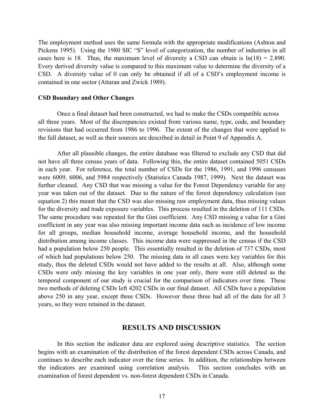The employment method uses the same formula with the appropriate modifications (Ashton and Pickens 1995). Using the 1980 SIC "S" level of categorization, the number of industries in all cases here is 18. Thus, the maximum level of diversity a CSD can obtain is  $ln(18) = 2.890$ . Every derived diversity value is compared to this maximum value to determine the diversity of a CSD. A diversity value of 0 can only be obtained if all of a CSD's employment income is contained in one sector (Attaran and Zwick 1989).

#### **CSD Boundary and Other Changes**

Once a final dataset had been constructed, we had to make the CSDs compatible across all three years. Most of the discrepancies existed from various name, type, code, and boundary revisions that had occurred from 1986 to 1996. The extent of the changes that were applied to the full dataset, as well as their sources are described in detail in Point 9 of Appendix A.

After all plausible changes, the entire database was filtered to exclude any CSD that did not have all three census years of data. Following this, the entire dataset contained 5051 CSDs in each year. For reference, the total number of CSDs for the 1986, 1991, and 1996 censuses were 6009, 6006, and 5984 respectively (Statistics Canada 1987, 1999). Next the dataset was further cleaned. Any CSD that was missing a value for the Forest Dependency variable for any year was taken out of the dataset. Due to the nature of the forest dependency calculation (see equation 2) this meant that the CSD was also missing raw employment data, thus missing values for the diversity and trade exposure variables. This process resulted in the deletion of 111 CSDs. The same procedure was repeated for the Gini coefficient. Any CSD missing a value for a Gini coefficient in any year was also missing important income data such as incidence of low income for all groups, median household income, average household income, and the household distribution among income classes. This income data were suppressed in the census if the CSD had a population below 250 people. This essentially resulted in the deletion of 737 CSDs, most of which had populations below 250. The missing data in all cases were key variables for this study, thus the deleted CSDs would not have added to the results at all. Also, although some CSDs were only missing the key variables in one year only, there were still deleted as the temporal component of our study is crucial for the comparison of indicators over time. These two methods of deleting CSDs left 4202 CSDs in our final dataset. All CSDs have a population above 250 in any year, except three CSDs. However these three had all of the data for all 3 years, so they were retained in the dataset.

# **RESULTS AND DISCUSSION**

In this section the indicator data are explored using descriptive statistics. The section begins with an examination of the distribution of the forest dependent CSDs across Canada, and continues to describe each indicator over the time series. In addition, the relationships between the indicators are examined using correlation analysis. This section concludes with an examination of forest dependent vs. non-forest dependent CSDs in Canada.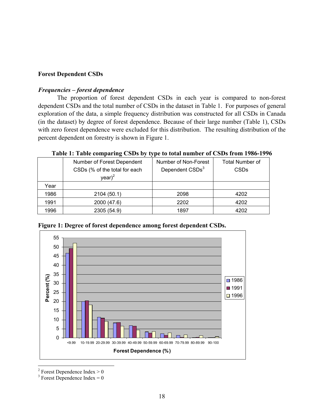# **Forest Dependent CSDs**

#### *Frequencies – forest dependence*

The proportion of forest dependent CSDs in each year is compared to non-forest dependent CSDs and the total number of CSDs in the dataset in Table 1. For purposes of general exploration of the data, a simple frequency distribution was constructed for all CSDs in Canada (in the dataset) by degree of forest dependence. Because of their large number (Table 1), CSDs with zero forest dependence were excluded for this distribution. The resulting distribution of the percent dependent on forestry is shown in Figure 1.

|      | Number of Forest Dependent    | Number of Non-Forest        | <b>Total Number of</b> |
|------|-------------------------------|-----------------------------|------------------------|
|      | CSDs (% of the total for each | Dependent CSDs <sup>3</sup> | <b>CSDs</b>            |
|      | year) <sup>2</sup>            |                             |                        |
| Year |                               |                             |                        |
| 1986 | 2104 (50.1)                   | 2098                        | 4202                   |
| 1991 | 2000 (47.6)                   | 2202                        | 4202                   |
| 1996 | 2305 (54.9)                   | 1897                        | 4202                   |

**Table 1: Table comparing CSDs by type to total number of CSDs from 1986-1996** 



**Figure 1: Degree of forest dependence among forest dependent CSDs.** 

<sup>2</sup> Forest Dependence Index  $> 0$ 

1

<sup>3</sup> Forest Dependence Index =  $0$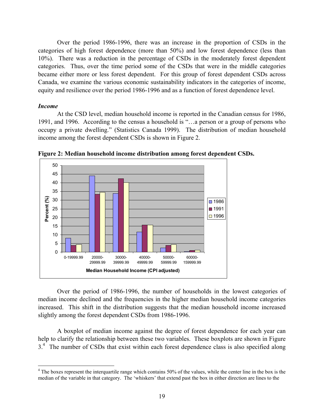Over the period 1986-1996, there was an increase in the proportion of CSDs in the categories of high forest dependence (more than 50%) and low forest dependence (less than 10%). There was a reduction in the percentage of CSDs in the moderately forest dependent categories. Thus, over the time period some of the CSDs that were in the middle categories became either more or less forest dependent. For this group of forest dependent CSDs across Canada, we examine the various economic sustainability indicators in the categories of income, equity and resilience over the period 1986-1996 and as a function of forest dependence level.

#### *Income*

1

At the CSD level, median household income is reported in the Canadian census for 1986, 1991, and 1996. According to the census a household is "…a person or a group of persons who occupy a private dwelling." (Statistics Canada 1999). The distribution of median household income among the forest dependent CSDs is shown in Figure 2.



**Figure 2: Median household income distribution among forest dependent CSDs.**

Over the period of 1986-1996, the number of households in the lowest categories of median income declined and the frequencies in the higher median household income categories increased. This shift in the distribution suggests that the median household income increased slightly among the forest dependent CSDs from 1986-1996.

A boxplot of median income against the degree of forest dependence for each year can help to clarify the relationship between these two variables. These boxplots are shown in Figure  $3<sup>4</sup>$  The number of CSDs that exist within each forest dependence class is also specified along

<sup>&</sup>lt;sup>4</sup> The boxes represent the interquartile range which contains 50% of the values, while the center line in the box is the median of the variable in that category. The 'whiskers' that extend past the box in either direction are lines to the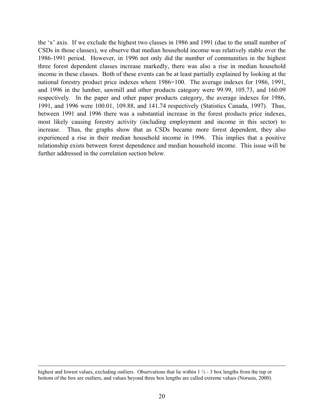the 'x' axis. If we exclude the highest two classes in 1986 and 1991 (due to the small number of CSDs in those classes), we observe that median household income was relatively stable over the 1986-1991 period. However, in 1996 not only did the number of communities in the highest three forest dependent classes increase markedly, there was also a rise in median household income in these classes. Both of these events can be at least partially explained by looking at the national forestry product price indexes where 1986=100. The average indexes for 1986, 1991, and 1996 in the lumber, sawmill and other products category were 99.99, 105.73, and 160.09 respectively. In the paper and other paper products category, the average indexes for 1986, 1991, and 1996 were 100.01, 109.88, and 141.74 respectively (Statistics Canada, 1997). Thus, between 1991 and 1996 there was a substantial increase in the forest products price indexes, most likely causing forestry activity (including employment and income in this sector) to increase. Thus, the graphs show that as CSDs became more forest dependent, they also experienced a rise in their median household income in 1996. This implies that a positive relationship exists between forest dependence and median household income. This issue will be further addressed in the correlation section below.

highest and lowest values, excluding outliers. Observations that lie within 1  $\frac{1}{2}$  - 3 box lengths from the top or bottom of the box are outliers, and values beyond three box lengths are called extreme values (Norusis, 2000).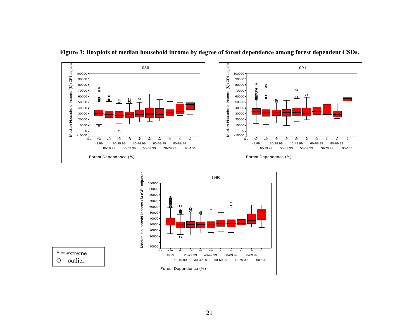

21



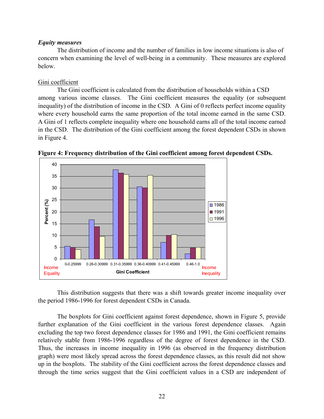#### *Equity measures*

The distribution of income and the number of families in low income situations is also of concern when examining the level of well-being in a community. These measures are explored below.

# Gini coefficient

The Gini coefficient is calculated from the distribution of households within a CSD among various income classes. The Gini coefficient measures the equality (or subsequent inequality) of the distribution of income in the CSD. A Gini of 0 reflects perfect income equality where every household earns the same proportion of the total income earned in the same CSD. A Gini of 1 reflects complete inequality where one household earns all of the total income earned in the CSD. The distribution of the Gini coefficient among the forest dependent CSDs in shown in Figure 4.



**Figure 4: Frequency distribution of the Gini coefficient among forest dependent CSDs.** 

This distribution suggests that there was a shift towards greater income inequality over the period 1986-1996 for forest dependent CSDs in Canada.

The boxplots for Gini coefficient against forest dependence, shown in Figure 5, provide further explanation of the Gini coefficient in the various forest dependence classes. Again excluding the top two forest dependence classes for 1986 and 1991, the Gini coefficient remains relatively stable from 1986-1996 regardless of the degree of forest dependence in the CSD. Thus, the increases in income inequality in 1996 (as observed in the frequency distribution graph) were most likely spread across the forest dependence classes, as this result did not show up in the boxplots. The stability of the Gini coefficient across the forest dependence classes and through the time series suggest that the Gini coefficient values in a CSD are independent of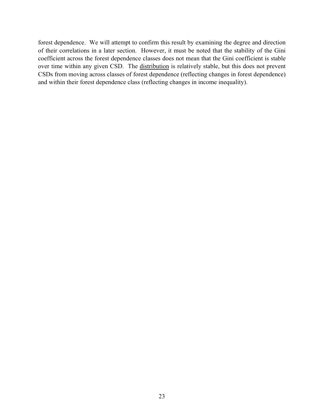forest dependence. We will attempt to confirm this result by examining the degree and direction of their correlations in a later section. However, it must be noted that the stability of the Gini coefficient across the forest dependence classes does not mean that the Gini coefficient is stable over time within any given CSD. The distribution is relatively stable, but this does not prevent CSDs from moving across classes of forest dependence (reflecting changes in forest dependence) and within their forest dependence class (reflecting changes in income inequality).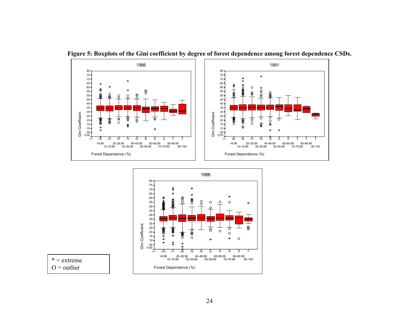







 $O =$  outlier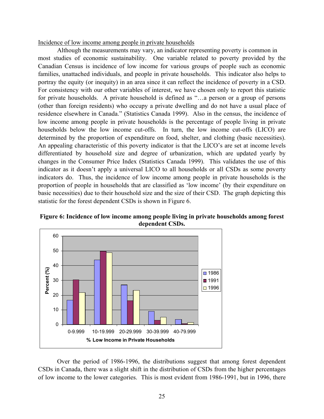Incidence of low income among people in private households

Although the measurements may vary, an indicator representing poverty is common in most studies of economic sustainability. One variable related to poverty provided by the Canadian Census is incidence of low income for various groups of people such as economic families, unattached individuals, and people in private households. This indicator also helps to portray the equity (or inequity) in an area since it can reflect the incidence of poverty in a CSD. For consistency with our other variables of interest, we have chosen only to report this statistic for private households. A private household is defined as "…a person or a group of persons (other than foreign residents) who occupy a private dwelling and do not have a usual place of residence elsewhere in Canada." (Statistics Canada 1999). Also in the census, the incidence of low income among people in private households is the percentage of people living in private households below the low income cut-offs. In turn, the low income cut-offs (LICO) are determined by the proportion of expenditure on food, shelter, and clothing (basic necessities). An appealing characteristic of this poverty indicator is that the LICO's are set at income levels differentiated by household size and degree of urbanization, which are updated yearly by changes in the Consumer Price Index (Statistics Canada 1999). This validates the use of this indicator as it doesn't apply a universal LICO to all households or all CSDs as some poverty indicators do. Thus, the incidence of low income among people in private households is the proportion of people in households that are classified as 'low income' (by their expenditure on basic necessities) due to their household size and the size of their CSD. The graph depicting this statistic for the forest dependent CSDs is shown in Figure 6.





Over the period of 1986-1996, the distributions suggest that among forest dependent CSDs in Canada, there was a slight shift in the distribution of CSDs from the higher percentages of low income to the lower categories. This is most evident from 1986-1991, but in 1996, there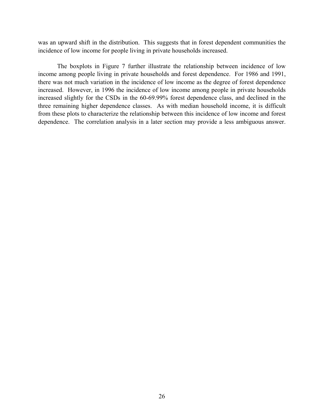was an upward shift in the distribution. This suggests that in forest dependent communities the incidence of low income for people living in private households increased.

The boxplots in Figure 7 further illustrate the relationship between incidence of low income among people living in private households and forest dependence. For 1986 and 1991, there was not much variation in the incidence of low income as the degree of forest dependence increased. However, in 1996 the incidence of low income among people in private households increased slightly for the CSDs in the 60-69.99% forest dependence class, and declined in the three remaining higher dependence classes. As with median household income, it is difficult from these plots to characterize the relationship between this incidence of low income and forest dependence. The correlation analysis in a later section may provide a less ambiguous answer.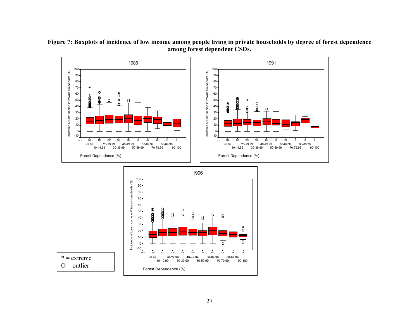

**Figure 7: Boxplots of incidence of low income among people living in private households by degree of forest dependence among forest dependent CSDs.**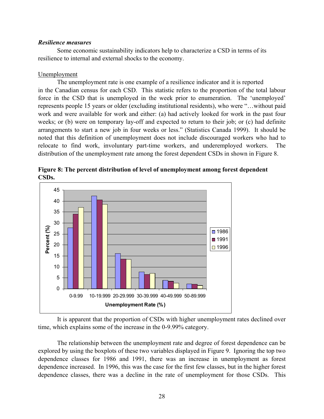#### *Resilience measures*

Some economic sustainability indicators help to characterize a CSD in terms of its resilience to internal and external shocks to the economy.

# Unemployment

The unemployment rate is one example of a resilience indicator and it is reported in the Canadian census for each CSD. This statistic refers to the proportion of the total labour force in the CSD that is unemployed in the week prior to enumeration. The 'unemployed' represents people 15 years or older (excluding institutional residents), who were "…without paid work and were available for work and either: (a) had actively looked for work in the past four weeks; or (b) were on temporary lay-off and expected to return to their job; or (c) had definite arrangements to start a new job in four weeks or less." (Statistics Canada 1999). It should be noted that this definition of unemployment does not include discouraged workers who had to relocate to find work, involuntary part-time workers, and underemployed workers. The distribution of the unemployment rate among the forest dependent CSDs in shown in Figure 8.



**Figure 8: The percent distribution of level of unemployment among forest dependent CSDs.** 

It is apparent that the proportion of CSDs with higher unemployment rates declined over time, which explains some of the increase in the 0-9.99% category.

The relationship between the unemployment rate and degree of forest dependence can be explored by using the boxplots of these two variables displayed in Figure 9. Ignoring the top two dependence classes for 1986 and 1991, there was an increase in unemployment as forest dependence increased. In 1996, this was the case for the first few classes, but in the higher forest dependence classes, there was a decline in the rate of unemployment for those CSDs. This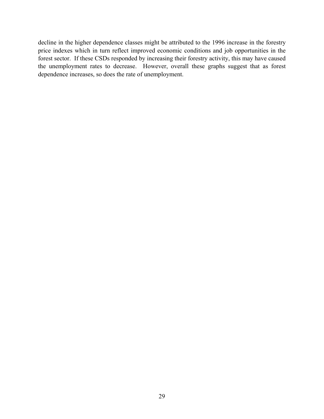decline in the higher dependence classes might be attributed to the 1996 increase in the forestry price indexes which in turn reflect improved economic conditions and job opportunities in the forest sector. If these CSDs responded by increasing their forestry activity, this may have caused the unemployment rates to decrease. However, overall these graphs suggest that as forest dependence increases, so does the rate of unemployment.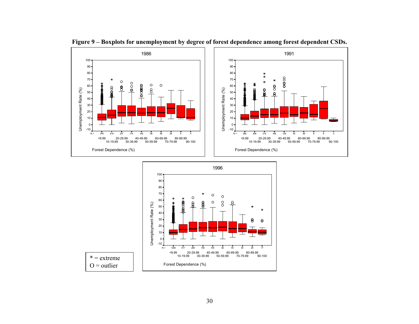

**Figure 9 – Boxplots for unemployment by degree of forest dependence among forest dependent CSDs.** 

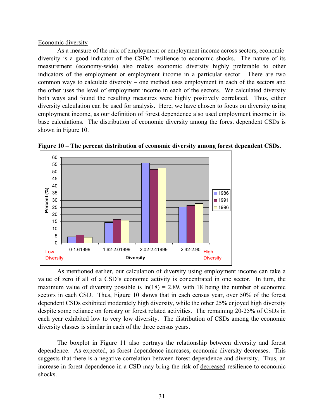#### Economic diversity

As a measure of the mix of employment or employment income across sectors, economic diversity is a good indicator of the CSDs' resilience to economic shocks. The nature of its measurement (economy-wide) also makes economic diversity highly preferable to other indicators of the employment or employment income in a particular sector. There are two common ways to calculate diversity – one method uses employment in each of the sectors and the other uses the level of employment income in each of the sectors. We calculated diversity both ways and found the resulting measures were highly positively correlated. Thus, either diversity calculation can be used for analysis. Here, we have chosen to focus on diversity using employment income, as our definition of forest dependence also used employment income in its base calculations. The distribution of economic diversity among the forest dependent CSDs is shown in Figure 10.



**Figure 10 – The percent distribution of economic diversity among forest dependent CSDs.** 

As mentioned earlier, our calculation of diversity using employment income can take a value of zero if all of a CSD's economic activity is concentrated in one sector. In turn, the maximum value of diversity possible is  $ln(18) = 2.89$ , with 18 being the number of economic sectors in each CSD. Thus, Figure 10 shows that in each census year, over 50% of the forest dependent CSDs exhibited moderately high diversity, while the other 25% enjoyed high diversity despite some reliance on forestry or forest related activities. The remaining 20-25% of CSDs in each year exhibited low to very low diversity. The distribution of CSDs among the economic diversity classes is similar in each of the three census years.

The boxplot in Figure 11 also portrays the relationship between diversity and forest dependence. As expected, as forest dependence increases, economic diversity decreases. This suggests that there is a negative correlation between forest dependence and diversity. Thus, an increase in forest dependence in a CSD may bring the risk of decreased resilience to economic shocks.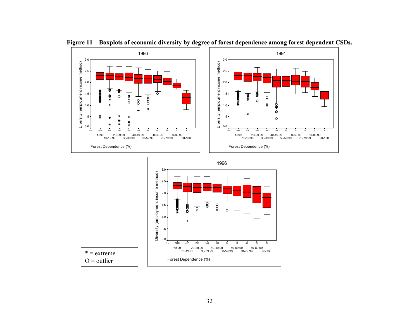

**Figure 11 – Boxplots of economic diversity by degree of forest dependence among forest dependent CSDs.**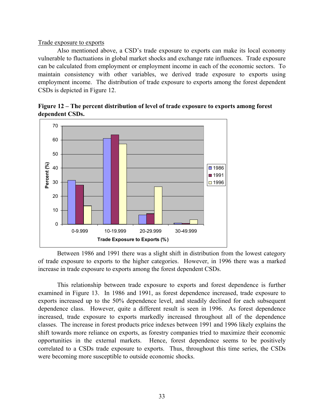# Trade exposure to exports

Also mentioned above, a CSD's trade exposure to exports can make its local economy vulnerable to fluctuations in global market shocks and exchange rate influences. Trade exposure can be calculated from employment or employment income in each of the economic sectors. To maintain consistency with other variables, we derived trade exposure to exports using employment income. The distribution of trade exposure to exports among the forest dependent CSDs is depicted in Figure 12.



**Figure 12 – The percent distribution of level of trade exposure to exports among forest dependent CSDs.** 

Between 1986 and 1991 there was a slight shift in distribution from the lowest category of trade exposure to exports to the higher categories. However, in 1996 there was a marked increase in trade exposure to exports among the forest dependent CSDs.

This relationship between trade exposure to exports and forest dependence is further examined in Figure 13. In 1986 and 1991, as forest dependence increased, trade exposure to exports increased up to the 50% dependence level, and steadily declined for each subsequent dependence class. However, quite a different result is seen in 1996. As forest dependence increased, trade exposure to exports markedly increased throughout all of the dependence classes. The increase in forest products price indexes between 1991 and 1996 likely explains the shift towards more reliance on exports, as forestry companies tried to maximize their economic opportunities in the external markets. Hence, forest dependence seems to be positively correlated to a CSDs trade exposure to exports. Thus, throughout this time series, the CSDs were becoming more susceptible to outside economic shocks.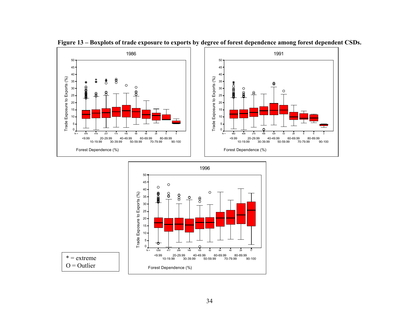

**Figure 13 – Boxplots of trade exposure to exports by degree of forest dependence among forest dependent CSDs.** 

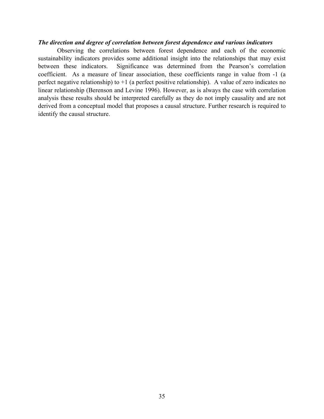#### *The direction and degree of correlation between forest dependence and various indicators*

Observing the correlations between forest dependence and each of the economic sustainability indicators provides some additional insight into the relationships that may exist between these indicators. Significance was determined from the Pearson's correlation coefficient. As a measure of linear association, these coefficients range in value from -1 (a perfect negative relationship) to +1 (a perfect positive relationship). A value of zero indicates no linear relationship (Berenson and Levine 1996). However, as is always the case with correlation analysis these results should be interpreted carefully as they do not imply causality and are not derived from a conceptual model that proposes a causal structure. Further research is required to identify the causal structure.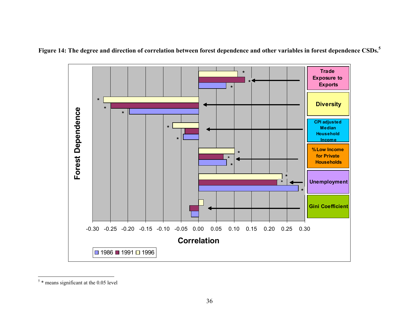



 $5 *$  means significant at the 0.05 level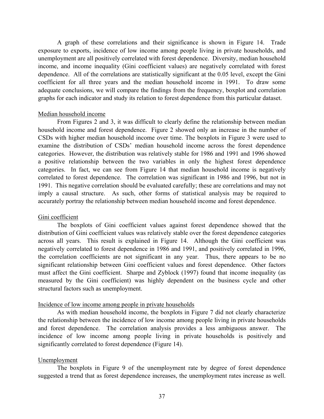A graph of these correlations and their significance is shown in Figure 14. Trade exposure to exports, incidence of low income among people living in private households, and unemployment are all positively correlated with forest dependence. Diversity, median household income, and income inequality (Gini coefficient values) are negatively correlated with forest dependence. All of the correlations are statistically significant at the 0.05 level, except the Gini coefficient for all three years and the median household income in 1991. To draw some adequate conclusions, we will compare the findings from the frequency, boxplot and correlation graphs for each indicator and study its relation to forest dependence from this particular dataset.

#### Median household income

From Figures 2 and 3, it was difficult to clearly define the relationship between median household income and forest dependence. Figure 2 showed only an increase in the number of CSDs with higher median household income over time. The boxplots in Figure 3 were used to examine the distribution of CSDs' median household income across the forest dependence categories. However, the distribution was relatively stable for 1986 and 1991 and 1996 showed a positive relationship between the two variables in only the highest forest dependence categories. In fact, we can see from Figure 14 that median household income is negatively correlated to forest dependence. The correlation was significant in 1986 and 1996, but not in 1991. This negative correlation should be evaluated carefully; these are correlations and may not imply a causal structure. As such, other forms of statistical analysis may be required to accurately portray the relationship between median household income and forest dependence.

# Gini coefficient

The boxplots of Gini coefficient values against forest dependence showed that the distribution of Gini coefficient values was relatively stable over the forest dependence categories across all years. This result is explained in Figure 14. Although the Gini coefficient was negatively correlated to forest dependence in 1986 and 1991, and positively correlated in 1996, the correlation coefficients are not significant in any year. Thus, there appears to be no significant relationship between Gini coefficient values and forest dependence. Other factors must affect the Gini coefficient. Sharpe and Zyblock (1997) found that income inequality (as measured by the Gini coefficient) was highly dependent on the business cycle and other structural factors such as unemployment.

# Incidence of low income among people in private households

 As with median household income, the boxplots in Figure 7 did not clearly characterize the relationship between the incidence of low income among people living in private households and forest dependence. The correlation analysis provides a less ambiguous answer. The incidence of low income among people living in private households is positively and significantly correlated to forest dependence (Figure 14).

# Unemployment

The boxplots in Figure 9 of the unemployment rate by degree of forest dependence suggested a trend that as forest dependence increases, the unemployment rates increase as well.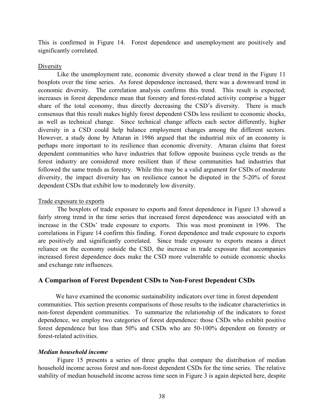This is confirmed in Figure 14. Forest dependence and unemployment are positively and significantly correlated.

#### **Diversity**

Like the unemployment rate, economic diversity showed a clear trend in the Figure 11 boxplots over the time series. As forest dependence increased, there was a downward trend in economic diversity. The correlation analysis confirms this trend. This result is expected; increases in forest dependence mean that forestry and forest-related activity comprise a bigger share of the total economy, thus directly decreasing the CSD's diversity. There is much consensus that this result makes highly forest dependent CSDs less resilient to economic shocks, as well as technical change. Since technical change affects each sector differently, higher diversity in a CSD could help balance employment changes among the different sectors. However, a study done by Attaran in 1986 argued that the industrial mix of an economy is perhaps more important to its resilience than economic diversity. Attaran claims that forest dependent communities who have industries that follow opposite business cycle trends as the forest industry are considered more resilient than if these communities had industries that followed the same trends as forestry. While this may be a valid argument for CSDs of moderate diversity, the impact diversity has on resilience cannot be disputed in the 5-20% of forest dependent CSDs that exhibit low to moderately low diversity.

# Trade exposure to exports

The boxplots of trade exposure to exports and forest dependence in Figure 13 showed a fairly strong trend in the time series that increased forest dependence was associated with an increase in the CSDs' trade exposure to exports. This was most prominent in 1996. The correlations in Figure 14 confirm this finding. Forest dependence and trade exposure to exports are positively and significantly correlated. Since trade exposure to exports means a direct reliance on the economy outside the CSD, the increase in trade exposure that accompanies increased forest dependence does make the CSD more vulnerable to outside economic shocks and exchange rate influences.

# **A Comparison of Forest Dependent CSDs to Non-Forest Dependent CSDs**

We have examined the economic sustainability indicators over time in forest dependent communities. This section presents comparisons of those results to the indicator characteristics in non-forest dependent communities. To summarize the relationship of the indicators to forest dependence, we employ two categories of forest dependence: those CSDs who exhibit positive forest dependence but less than 50% and CSDs who are 50-100% dependent on forestry or forest-related activities.

# *Median household income*

Figure 15 presents a series of three graphs that compare the distribution of median household income across forest and non-forest dependent CSDs for the time series. The relative stability of median household income across time seen in Figure 3 is again depicted here, despite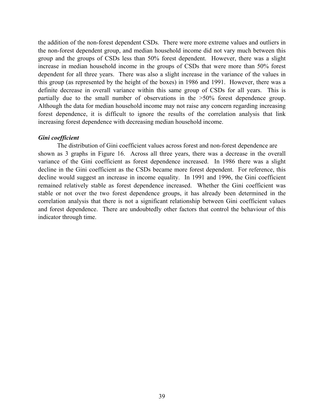the addition of the non-forest dependent CSDs. There were more extreme values and outliers in the non-forest dependent group, and median household income did not vary much between this group and the groups of CSDs less than 50% forest dependent. However, there was a slight increase in median household income in the groups of CSDs that were more than 50% forest dependent for all three years. There was also a slight increase in the variance of the values in this group (as represented by the height of the boxes) in 1986 and 1991. However, there was a definite decrease in overall variance within this same group of CSDs for all years. This is partially due to the small number of observations in the >50% forest dependence group. Although the data for median household income may not raise any concern regarding increasing forest dependence, it is difficult to ignore the results of the correlation analysis that link increasing forest dependence with decreasing median household income.

# *Gini coefficient*

The distribution of Gini coefficient values across forest and non-forest dependence are shown as 3 graphs in Figure 16. Across all three years, there was a decrease in the overall variance of the Gini coefficient as forest dependence increased. In 1986 there was a slight decline in the Gini coefficient as the CSDs became more forest dependent. For reference, this decline would suggest an increase in income equality. In 1991 and 1996, the Gini coefficient remained relatively stable as forest dependence increased. Whether the Gini coefficient was stable or not over the two forest dependence groups, it has already been determined in the correlation analysis that there is not a significant relationship between Gini coefficient values and forest dependence. There are undoubtedly other factors that control the behaviour of this indicator through time.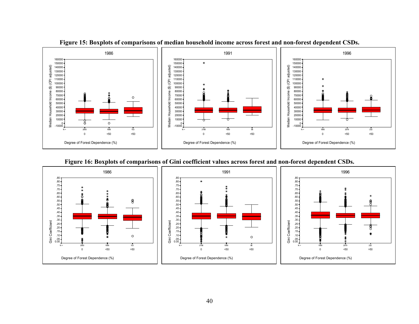

**Figure 15: Boxplots of comparisons of median household income across forest and non-forest dependent CSDs.** 

#### **Figure 16: Boxplots of comparisons of Gini coefficient values across forest and non-forest dependent CSDs.**

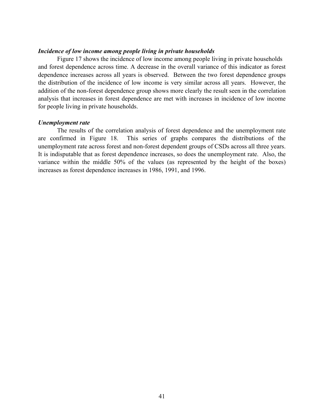#### *Incidence of low income among people living in private households*

Figure 17 shows the incidence of low income among people living in private households and forest dependence across time. A decrease in the overall variance of this indicator as forest dependence increases across all years is observed. Between the two forest dependence groups the distribution of the incidence of low income is very similar across all years. However, the addition of the non-forest dependence group shows more clearly the result seen in the correlation analysis that increases in forest dependence are met with increases in incidence of low income for people living in private households.

#### *Unemployment rate*

The results of the correlation analysis of forest dependence and the unemployment rate are confirmed in Figure 18. This series of graphs compares the distributions of the unemployment rate across forest and non-forest dependent groups of CSDs across all three years. It is indisputable that as forest dependence increases, so does the unemployment rate. Also, the variance within the middle 50% of the values (as represented by the height of the boxes) increases as forest dependence increases in 1986, 1991, and 1996.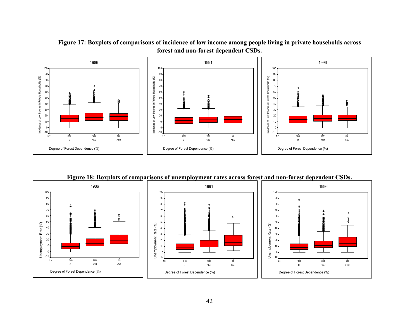



**Figure 18: Boxplots of comparisons of unemployment rates across forest and non-forest dependent CSDs.** 

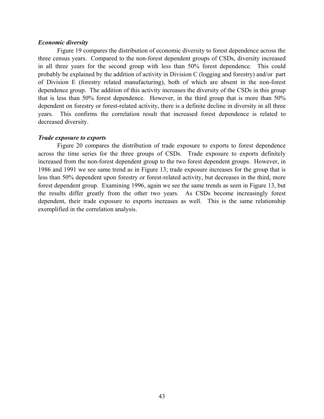#### *Economic diversity*

Figure 19 compares the distribution of economic diversity to forest dependence across the three census years. Compared to the non-forest dependent groups of CSDs, diversity increased in all three years for the second group with less than 50% forest dependence. This could probably be explained by the addition of activity in Division C (logging and forestry) and/or part of Division E (forestry related manufacturing), both of which are absent in the non-forest dependence group. The addition of this activity increases the diversity of the CSDs in this group that is less than 50% forest dependence. However, in the third group that is more than 50% dependent on forestry or forest-related activity, there is a definite decline in diversity in all three years. This confirms the correlation result that increased forest dependence is related to decreased diversity.

#### *Trade exposure to exports*

Figure 20 compares the distribution of trade exposure to exports to forest dependence across the time series for the three groups of CSDs. Trade exposure to exports definitely increased from the non-forest dependent group to the two forest dependent groups. However, in 1986 and 1991 we see same trend as in Figure 13; trade exposure increases for the group that is less than 50% dependent upon forestry or forest-related activity, but decreases in the third, more forest dependent group. Examining 1996, again we see the same trends as seen in Figure 13, but the results differ greatly from the other two years. As CSDs become increasingly forest dependent, their trade exposure to exports increases as well. This is the same relationship exemplified in the correlation analysis.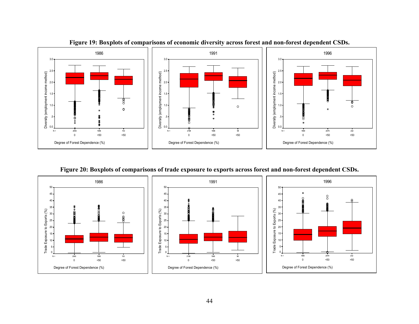

**Figure 19: Boxplots of comparisons of economic diversity across forest and non-forest dependent CSDs.** 

**Figure 20: Boxplots of comparisons of trade exposure to exports across forest and non-forest dependent CSDs.** 

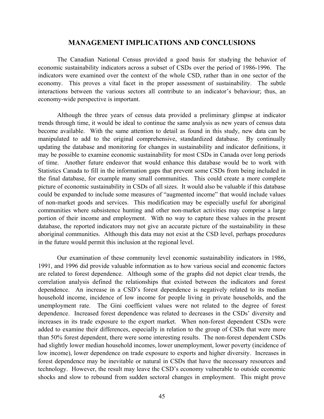# **MANAGEMENT IMPLICATIONS AND CONCLUSIONS**

 The Canadian National Census provided a good basis for studying the behavior of economic sustainability indicators across a subset of CSDs over the period of 1986-1996. The indicators were examined over the context of the whole CSD, rather than in one sector of the economy. This proves a vital facet in the proper assessment of sustainability. The subtle interactions between the various sectors all contribute to an indicator's behaviour; thus, an economy-wide perspective is important.

Although the three years of census data provided a preliminary glimpse at indicator trends through time, it would be ideal to continue the same analysis as new years of census data become available. With the same attention to detail as found in this study, new data can be manipulated to add to the original comprehensive, standardized database. By continually updating the database and monitoring for changes in sustainability and indicator definitions, it may be possible to examine economic sustainability for most CSDs in Canada over long periods of time. Another future endeavor that would enhance this database would be to work with Statistics Canada to fill in the information gaps that prevent some CSDs from being included in the final database, for example many small communities. This could create a more complete picture of economic sustainability in CSDs of all sizes. It would also be valuable if this database could be expanded to include some measures of "augmented income" that would include values of non-market goods and services. This modification may be especially useful for aboriginal communities where subsistence hunting and other non-market activities may comprise a large portion of their income and employment. With no way to capture these values in the present database, the reported indicators may not give an accurate picture of the sustainability in these aboriginal communities. Although this data may not exist at the CSD level, perhaps procedures in the future would permit this inclusion at the regional level.

Our examination of these community level economic sustainability indicators in 1986, 1991, and 1996 did provide valuable information as to how various social and economic factors are related to forest dependence. Although some of the graphs did not depict clear trends, the correlation analysis defined the relationships that existed between the indicators and forest dependence. An increase in a CSD's forest dependence is negatively related to its median household income, incidence of low income for people living in private households, and the unemployment rate. The Gini coefficient values were not related to the degree of forest dependence. Increased forest dependence was related to decreases in the CSDs' diversity and increases in its trade exposure to the export market. When non-forest dependent CSDs were added to examine their differences, especially in relation to the group of CSDs that were more than 50% forest dependent, there were some interesting results. The non-forest dependent CSDs had slightly lower median household incomes, lower unemployment, lower poverty (incidence of low income), lower dependence on trade exposure to exports and higher diversity. Increases in forest dependence may be inevitable or natural in CSDs that have the necessary resources and technology. However, the result may leave the CSD's economy vulnerable to outside economic shocks and slow to rebound from sudden sectoral changes in employment. This might prove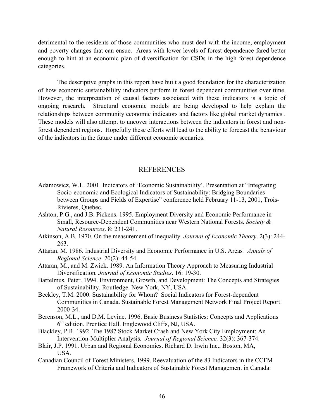detrimental to the residents of those communities who must deal with the income, employment and poverty changes that can ensue. Areas with lower levels of forest dependence fared better enough to hint at an economic plan of diversification for CSDs in the high forest dependence categories.

The descriptive graphs in this report have built a good foundation for the characterization of how economic sustainabililty indicators perform in forest dependent communities over time. However, the interpretation of causal factors associated with these indicators is a topic of ongoing research. Structural economic models are being developed to help explain the relationships between community economic indicators and factors like global market dynamics . These models will also attempt to uncover interactions between the indicators in forest and nonforest dependent regions. Hopefully these efforts will lead to the ability to forecast the behaviour of the indicators in the future under different economic scenarios.

# **REFERENCES**

- Adamowicz, W.L. 2001. Indicators of 'Economic Sustainability'. Presentation at "Integrating Socio-economic and Ecological Indicators of Sustainability: Bridging Boundaries between Groups and Fields of Expertise" conference held February 11-13, 2001, Trois-Rivieres, Quebec.
- Ashton, P.G., and J.B. Pickens. 1995. Employment Diversity and Economic Performance in Small, Resource-Dependent Communities near Western National Forests. *Society & Natural Resources*. 8: 231-241.
- Atkinson, A.B. 1970. On the measurement of inequality. *Journal of Economic Theory*. 2(3): 244- 263.
- Attaran, M. 1986. Industrial Diversity and Economic Performance in U.S. Areas*. Annals of Regional Science*. 20(2): 44-54.
- Attaran, M., and M. Zwick. 1989. An Information Theory Approach to Measuring Industrial Diversification*. Journal of Economic Studies*. 16: 19-30.
- Bartelmus, Peter. 1994. Environment, Growth, and Development: The Concepts and Strategies of Sustainability. Routledge. New York, NY, USA.
- Beckley, T.M. 2000. Sustainability for Whom? Social Indicators for Forest-dependent Communities in Canada. Sustainable Forest Management Network Final Project Report 2000-34.
- Berenson, M.L., and D.M. Levine. 1996. Basic Business Statistics: Concepts and Applications 6th edition*.* Prentice Hall. Englewood Cliffs, NJ, USA.
- Blackley, P.R. 1992. The 1987 Stock Market Crash and New York City Employment: An Intervention-Multiplier Analysis*. Journal of Regional Science.* 32(3): 367-374.
- Blair, J.P. 1991. Urban and Regional Economics. Richard D. Irwin Inc., Boston, MA, **USA**
- Canadian Council of Forest Ministers. 1999. Reevaluation of the 83 Indicators in the CCFM Framework of Criteria and Indicators of Sustainable Forest Management in Canada: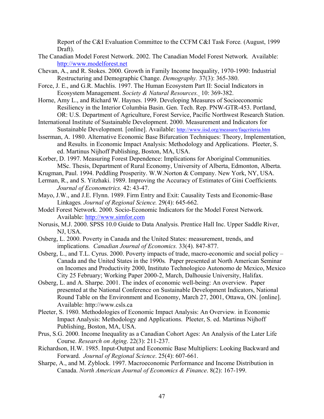Report of the C&I Evaluation Committee to the CCFM C&I Task Force*.* (August, 1999 Draft).

- The Canadian Model Forest Network. 2002. The Canadian Model Forest Network*.* Available: http://www.modelforest.net
- Chevan, A., and R. Stokes. 2000. Growth in Family Income Inequality, 1970-1990: Industrial Restructuring and Demographic Change. *Demography.* 37(3): 365-380.
- Force, J. E., and G.R. Machlis. 1997. The Human Ecosystem Part II: Social Indicators in Ecosystem Management. *Society & Natural Resources.* 10: 369-382.
- Horne, Amy L., and Richard W. Haynes. 1999. Developing Measures of Socioeconomic Resiliency in the Interior Columbia Basin. Gen. Tech. Rep. PNW-GTR-453. Portland, OR: U.S. Department of Agriculture, Forest Service, Pacific Northwest Research Station.
- International Institute of Sustainable Development. 2000. Measurement and Indicators for Sustainable Development*.* [online]. Available: http://www.iisd.org/measure/faqcriteria.htm
- Isserman, A. 1980. Alternative Economic Base Bifurcation Techniques: Theory, Implementation, and Results*.* in Economic Impact Analysis: Methodology and Applications. Pleeter, S. ed. Martinus Nijhoff Publishing, Boston, MA, USA.
- Korber, D. 1997. Measuring Forest Dependence: Implications for Aboriginal Communities*.* MSc. Thesis, Department of Rural Economy, University of Alberta, Edmonton, Alberta.
- Krugman, Paul. 1994. Peddling Prosperity. W.W.Norton & Company. New York, NY, USA.
- Lerman, R., and S. Yitzhaki. 1989. Improving the Accuracy of Estimates of Gini Coefficients*. Journal of Econometrics.* 42: 43-47.
- Mayo, J.W., and J.E. Flynn. 1989. Firm Entry and Exit: Causality Tests and Economic-Base Linkages*. Journal of Regional Science.* 29(4): 645-662.
- Model Forest Network. 2000. Socio-Economic Indicators for the Model Forest Network*.* Available: http://www.simfor.com
- Norusis, M.J. 2000. SPSS 10.0 Guide to Data Analysis. Prentice Hall Inc. Upper Saddle River, NJ, USA.
- Osberg, L. 2000. Poverty in Canada and the United States: measurement, trends, and implications*. Canadian Journal of Economics.* 33(4). 847-877.
- Osberg, L., and T.L. Cyrus. 2000. Poverty impacts of trade, macro-economic and social policy Canada and the United States in the 1990s*.* Paper presented at North American Seminar on Incomes and Productivity 2000, Instituto Technologico Autonomo de Mexico, Mexico City 25 February; Working Paper 2000-2, March, Dalhousie University, Halifax.
- Osberg, L. and A. Sharpe. 2001. The index of economic well-being: An overview. Paper presented at the National Conference on Sustainable Development Indicators, National Round Table on the Environment and Economy, March 27, 2001, Ottawa, ON. [online]. Available: http://www.csls.ca
- Pleeter, S. 1980. Methodologies of Economic Impact Analysis: An Overview*.* in Economic Impact Analysis: Methodology and Applications. Pleeter, S. ed. Martinus Nijhoff Publishing, Boston, MA, USA.
- Prus, S.G. 2000. Income Inequality as a Canadian Cohort Ages: An Analysis of the Later Life Course. *Research on Aging*. 22(3): 211-237.
- Richardson, H.W. 1985. Input-Output and Economic Base Multipliers: Looking Backward and Forward. *Journal of Regional Science*. 25(4): 607-661.
- Sharpe, A., and M. Zyblock. 1997. Macroeconomic Performance and Income Distribution in Canada. *North American Journal of Economics & Finance*. 8(2): 167-199.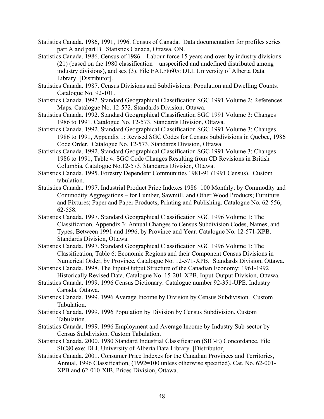- Statistics Canada. 1986, 1991, 1996. Census of Canada. Data documentation for profiles series part A and part B. Statistics Canada, Ottawa, ON.
- Statistics Canada. 1986. Census of 1986 Labour force 15 years and over by industry divisions (21) (based on the 1980 classification – unspecified and undefined distributed among industry divisions), and sex (3). File EALF8605: DLI. University of Alberta Data Library. [Distributor].
- Statistics Canada. 1987. Census Divisions and Subdivisions: Population and Dwelling Counts*.*  Catalogue No. 92-101.
- Statistics Canada. 1992. Standard Geographical Classification SGC 1991 Volume 2: References Maps*.* Catalogue No. 12-572. Standards Division, Ottawa.
- Statistics Canada. 1992. Standard Geographical Classification SGC 1991 Volume 3: Changes 1986 to 1991*.* Catalogue No. 12-573. Standards Division, Ottawa.
- Statistics Canada. 1992. Standard Geographical Classification SGC 1991 Volume 3: Changes 1986 to 1991, Appendix 1: Revised SGC Codes for Census Subdivisions in Quebec, 1986 Code Order*.* Catalogue No. 12-573. Standards Division, Ottawa.
- Statistics Canada. 1992. Standard Geographical Classification SGC 1991 Volume 3: Changes 1986 to 1991, Table 4: SGC Code Changes Resulting from CD Revisions in British Columbia*.* Catalogue No.12-573. Standards Division, Ottawa.
- Statistics Canada. 1995. Forestry Dependent Communities 1981-91 (1991 Census). Custom tabulation.
- Statistics Canada. 1997. Industrial Product Price Indexes 1986=100 Monthly; by Commodity and Commodity Aggregations – for Lumber, Sawmill, and Other Wood Products; Furniture and Fixtures; Paper and Paper Products; Printing and Publishing. Catalogue No. 62-556, 62-558.
- Statistics Canada. 1997. Standard Geographical Classification SGC 1996 Volume 1: The Classification, Appendix 3: Annual Changes to Census Subdivision Codes, Names, and Types, Between 1991 and 1996, by Province and Year*.* Catalogue No. 12-571-XPB. Standards Division, Ottawa.
- Statistics Canada. 1997. Standard Geographical Classification SGC 1996 Volume 1: The Classification, Table 6: Economic Regions and their Component Census Divisions in Numerical Order, by Province*.* Catalogue No. 12-571-XPB. Standards Division, Ottawa.
- Statistics Canada. 1998. The Input-Output Structure of the Canadian Economy: 1961-1992 Historically Revised Data. Catalogue No. 15-201-XPB. Input-Output Division, Ottawa.
- Statistics Canada. 1999. 1996 Census Dictionary. Catalogue number 92-351-UPE. Industry Canada, Ottawa.
- Statistics Canada. 1999. 1996 Average Income by Division by Census Subdivision. Custom Tabulation.
- Statistics Canada. 1999. 1996 Population by Division by Census Subdivision. Custom Tabulation.
- Statistics Canada. 1999. 1996 Employment and Average Income by Industry Sub-sector by Census Subdivision. Custom Tabulation.
- Statistics Canada. 2000. 1980 Standard Industrial Classification (SIC-E) Concordance*.* File SIC80.exe: DLI. University of Alberta Data Library. [Distributor]
- Statistics Canada. 2001. Consumer Price Indexes for the Canadian Provinces and Territories, Annual, 1996 Classification, (1992=100 unless otherwise specified). Cat. No. 62-001- XPB and 62-010-XIB. Prices Division, Ottawa.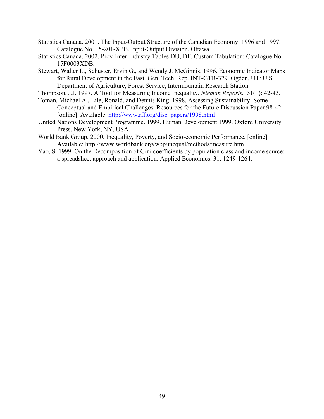- Statistics Canada. 2001. The Input-Output Structure of the Canadian Economy: 1996 and 1997. Catalogue No. 15-201-XPB. Input-Output Division, Ottawa.
- Statistics Canada. 2002. Prov-Inter-Industry Tables DU, DF. Custom Tabulation: Catalogue No. 15F0003XDB.
- Stewart, Walter L., Schuster, Ervin G., and Wendy J. McGinnis. 1996. Economic Indicator Maps for Rural Development in the East. Gen. Tech. Rep. INT-GTR-329. Ogden, UT: U.S. Department of Agriculture, Forest Service, Intermountain Research Station.
- Thompson, J.J. 1997. A Tool for Measuring Income Inequality. *Nieman Reports.* 51(1): 42-43.
- Toman, Michael A., Lile, Ronald, and Dennis King. 1998. Assessing Sustainability: Some Conceptual and Empirical Challenges. Resources for the Future Discussion Paper 98-42. [online]. Available: http://www.rff.org/disc\_papers/1998.html
- United Nations Development Programme. 1999. Human Development 1999. Oxford University Press. New York, NY, USA.
- World Bank Group. 2000. Inequality, Poverty, and Socio-economic Performance. [online]. Available: http://www.worldbank.org/wbp/inequal/methods/measure.htm
- Yao, S. 1999. On the Decomposition of Gini coefficients by population class and income source: a spreadsheet approach and application*.* Applied Economics. 31: 1249-1264.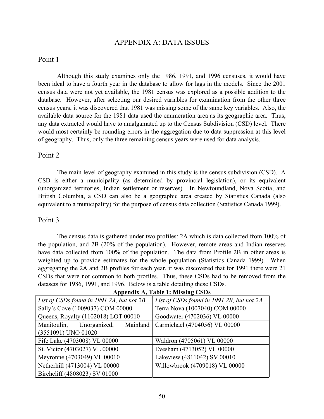# APPENDIX A: DATA ISSUES

# Point 1

Although this study examines only the 1986, 1991, and 1996 censuses, it would have been ideal to have a fourth year in the database to allow for lags in the models. Since the 2001 census data were not yet available, the 1981 census was explored as a possible addition to the database. However, after selecting our desired variables for examination from the other three census years, it was discovered that 1981 was missing some of the same key variables. Also, the available data source for the 1981 data used the enumeration area as its geographic area. Thus, any data extracted would have to amalgamated up to the Census Subdivision (CSD) level. There would most certainly be rounding errors in the aggregation due to data suppression at this level of geography. Thus, only the three remaining census years were used for data analysis.

# Point 2

 The main level of geography examined in this study is the census subdivision (CSD). A CSD is either a municipality (as determined by provincial legislation), or its equivalent (unorganized territories, Indian settlement or reserves). In Newfoundland, Nova Scotia, and British Columbia, a CSD can also be a geographic area created by Statistics Canada (also equivalent to a municipality) for the purpose of census data collection (Statistics Canada 1999).

# Point 3

 The census data is gathered under two profiles: 2A which is data collected from 100% of the population, and 2B (20% of the population). However, remote areas and Indian reserves have data collected from 100% of the population. The data from Profile 2B in other areas is weighted up to provide estimates for the whole population (Statistics Canada 1999). When aggregating the 2A and 2B profiles for each year, it was discovered that for 1991 there were 21 CSDs that were not common to both profiles. Thus, these CSDs had to be removed from the datasets for 1986, 1991, and 1996. Below is a table detailing these CSDs.

| List of CSDs found in 1991 2A, but not 2B | List of CSDs found in 1991 2B, but not 2A |  |
|-------------------------------------------|-------------------------------------------|--|
| Sally's Cove (1009037) COM 00000          | Terra Nova (1007040) COM 00000            |  |
| Queens, Royalty (1102018) LOT 00010       | Goodwater (4702036) VL 00000              |  |
| Manitoulin, Unorganized, Mainland         | Carmichael (4704056) VL 00000             |  |
| (3551091) UNO 01020                       |                                           |  |
| Fife Lake (4703008) VL 00000              | Waldron (4705061) VL 00000                |  |
| St. Victor (4703027) VL 00000             | Evesham (4713052) VL 00000                |  |
| Meyronne (4703049) VL 00010               | Lakeview (4811042) SV 00010               |  |
| Netherhill (4713004) VL 00000             | Willowbrook (4709018) VL 00000            |  |
| Birchcliff (4808023) SV 01000             |                                           |  |

| Appendix A, Table 1: Missing CSDs |
|-----------------------------------|
|-----------------------------------|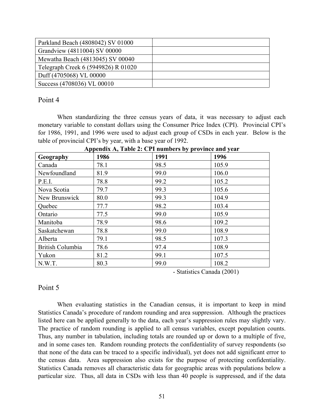| Parkland Beach (4808042) SV 01000   |  |
|-------------------------------------|--|
| Grandview (4811004) SV 00000        |  |
| Mewatha Beach (4813045) SV 00040    |  |
| Telegraph Creek 6 (5949826) R 01020 |  |
| Duff (4705068) VL 00000             |  |
| Success (4708036) VL 00010          |  |

# Point 4

When standardizing the three census years of data, it was necessary to adjust each monetary variable to constant dollars using the Consumer Price Index (CPI). Provincial CPI's for 1986, 1991, and 1996 were used to adjust each group of CSDs in each year. Below is the table of provincial CPI's by year, with a base year of 1992.

| Geography               | 1986 | 1991 | 1996  |  |  |
|-------------------------|------|------|-------|--|--|
| Canada                  | 78.1 | 98.5 | 105.9 |  |  |
| Newfoundland            | 81.9 | 99.0 | 106.0 |  |  |
| P.E.I.                  | 78.8 | 99.2 | 105.2 |  |  |
| Nova Scotia             | 79.7 | 99.3 | 105.6 |  |  |
| New Brunswick           | 80.0 | 99.3 | 104.9 |  |  |
| Quebec                  | 77.7 | 98.2 | 103.4 |  |  |
| Ontario                 | 77.5 | 99.0 | 105.9 |  |  |
| Manitoba                | 78.9 | 98.6 | 109.2 |  |  |
| Saskatchewan            | 78.8 | 99.0 | 108.9 |  |  |
| Alberta                 | 79.1 | 98.5 | 107.3 |  |  |
| <b>British Columbia</b> | 78.6 | 97.4 | 108.9 |  |  |
| Yukon                   | 81.2 | 99.1 | 107.5 |  |  |
| N.W.T.                  | 80.3 | 99.0 | 108.2 |  |  |

**Appendix A, Table 2: CPI numbers by province and year** 

- Statistics Canada (2001)

# Point 5

When evaluating statistics in the Canadian census, it is important to keep in mind Statistics Canada's procedure of random rounding and area suppression. Although the practices listed here can be applied generally to the data, each year's suppression rules may slightly vary. The practice of random rounding is applied to all census variables, except population counts. Thus, any number in tabulation, including totals are rounded up or down to a multiple of five, and in some cases ten. Random rounding protects the confidentiality of survey respondents (so that none of the data can be traced to a specific individual), yet does not add significant error to the census data. Area suppression also exists for the purpose of protecting confidentiality. Statistics Canada removes all characteristic data for geographic areas with populations below a particular size. Thus, all data in CSDs with less than 40 people is suppressed, and if the data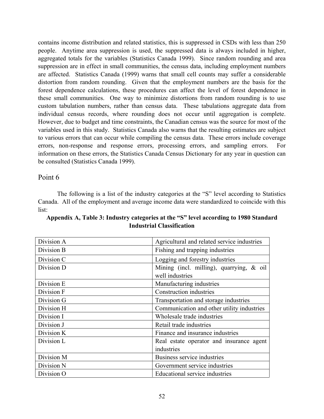contains income distribution and related statistics, this is suppressed in CSDs with less than 250 people. Anytime area suppression is used, the suppressed data is always included in higher, aggregated totals for the variables (Statistics Canada 1999). Since random rounding and area suppression are in effect in small communities, the census data, including employment numbers are affected. Statistics Canada (1999) warns that small cell counts may suffer a considerable distortion from random rounding. Given that the employment numbers are the basis for the forest dependence calculations, these procedures can affect the level of forest dependence in these small communities. One way to minimize distortions from random rounding is to use custom tabulation numbers, rather than census data. These tabulations aggregate data from individual census records, where rounding does not occur until aggregation is complete. However, due to budget and time constraints, the Canadian census was the source for most of the variables used in this study. Statistics Canada also warns that the resulting estimates are subject to various errors that can occur while compiling the census data. These errors include coverage errors, non-response and response errors, processing errors, and sampling errors. For information on these errors, the Statistics Canada Census Dictionary for any year in question can be consulted (Statistics Canada 1999).

# Point 6

The following is a list of the industry categories at the "S" level according to Statistics Canada. All of the employment and average income data were standardized to coincide with this list:

| Division A | Agricultural and related service industries |
|------------|---------------------------------------------|
| Division B | Fishing and trapping industries             |
| Division C | Logging and forestry industries             |
| Division D | Mining (incl. milling), quarrying, $\&$ oil |
|            | well industries                             |
| Division E | Manufacturing industries                    |
| Division F | <b>Construction industries</b>              |
| Division G | Transportation and storage industries       |
| Division H | Communication and other utility industries  |
| Division I | Wholesale trade industries                  |
| Division J | Retail trade industries                     |
| Division K | Finance and insurance industries            |
| Division L | Real estate operator and insurance agent    |
|            | industries                                  |
| Division M | Business service industries                 |
| Division N | Government service industries               |
| Division O | Educational service industries              |

**Appendix A, Table 3: Industry categories at the "S" level according to 1980 Standard Industrial Classification**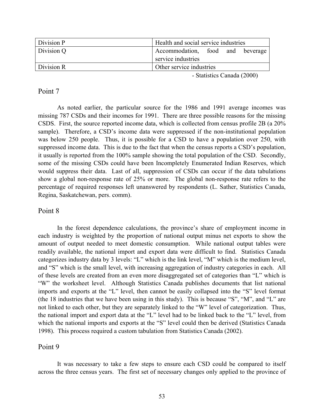| Division P | Health and social service industries                   |
|------------|--------------------------------------------------------|
| Division Q | Accommodation, food and beverage<br>service industries |
| Division R | Other service industries                               |

- Statistics Canada (2000)

# Point 7

As noted earlier, the particular source for the 1986 and 1991 average incomes was missing 787 CSDs and their incomes for 1991. There are three possible reasons for the missing CSDS. First, the source reported income data, which is collected from census profile 2B (a 20% sample). Therefore, a CSD's income data were suppressed if the non-institutional population was below 250 people. Thus, it is possible for a CSD to have a population over 250, with suppressed income data. This is due to the fact that when the census reports a CSD's population, it usually is reported from the 100% sample showing the total population of the CSD. Secondly, some of the missing CSDs could have been Incompletely Enumerated Indian Reserves, which would suppress their data. Last of all, suppression of CSDs can occur if the data tabulations show a global non-response rate of 25% or more. The global non-response rate refers to the percentage of required responses left unanswered by respondents (L. Sather, Statistics Canada, Regina, Saskatchewan, pers. comm).

# Point 8

In the forest dependence calculations, the province's share of employment income in each industry is weighted by the proportion of national output minus net exports to show the amount of output needed to meet domestic consumption. While national output tables were readily available, the national import and export data were difficult to find. Statistics Canada categorizes industry data by 3 levels: "L" which is the link level, "M" which is the medium level, and "S" which is the small level, with increasing aggregation of industry categories in each. All of these levels are created from an even more disaggregated set of categories than "L" which is "W" the worksheet level. Although Statistics Canada publishes documents that list national imports and exports at the "L" level, then cannot be easily collapsed into the "S" level format (the 18 industries that we have been using in this study). This is because "S", "M", and "L" are not linked to each other, but they are separately linked to the "W" level of categorization. Thus, the national import and export data at the "L" level had to be linked back to the "L" level, from which the national imports and exports at the "S" level could then be derived (Statistics Canada 1998). This process required a custom tabulation from Statistics Canada (2002).

# Point 9

 It was necessary to take a few steps to ensure each CSD could be compared to itself across the three census years. The first set of necessary changes only applied to the province of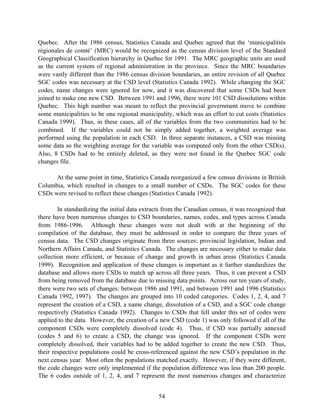Quebec. After the 1986 census, Statistics Canada and Quebec agreed that the 'municipalitiés régionales de comté' (MRC) would be recognized as the census division level of the Standard Geographical Classification hierarchy in Quebec for 1991. The MRC geographic units are used as the current system of regional administration in the province. Since the MRC boundaries were vastly different than the 1986 census division boundaries, an entire revision of all Quebec SGC codes was necessary at the CSD level (Statistics Canada 1992). While changing the SGC codes, name changes were ignored for now, and it was discovered that some CSDs had been joined to make one new CSD. Between 1991 and 1996, there were 101 CSD dissolutions within Quebec. This high number was meant to reflect the provincial government move to combine some municipalities to be one regional municipality, which was an effort to cut costs (Statistics Canada 1999). Thus, in these cases, all of the variables from the two communities had to be combined. If the variables could not be simply added together, a weighted average was performed using the population in each CSD. In three separate instances, a CSD was missing some data so the weighting average for the variable was computed only from the other CSD(s). Also, 8 CSDs had to be entirely deleted, as they were not found in the Quebec SGC code changes file.

At the same point in time, Statistics Canada reorganized a few census divisions in British Columbia, which resulted in changes to a small number of CSDs. The SGC codes for these CSDs were revised to reflect these changes (Statistics Canada 1992).

In standardizing the initial data extracts from the Canadian census, it was recognized that there have been numerous changes to CSD boundaries, names, codes, and types across Canada from 1986-1996. Although these changes were not dealt with at the beginning of the compilation of the database, they must be addressed in order to compare the three years of census data. The CSD changes originate from three sources: provincial legislation, Indian and Northern Affairs Canada, and Statistics Canada. The changes are necessary either to make data collection more efficient, or because of change and growth in urban areas (Statistics Canada 1999). Recognition and application of these changes is important as it further standardizes the database and allows more CSDs to match up across all three years. Thus, it can prevent a CSD from being removed from the database due to missing data points. Across our ten years of study, there were two sets of changes: between 1986 and 1991, and between 1991 and 1996 (Statistics Canada 1992, 1997). The changes are grouped into 10 coded categories. Codes 1, 2, 4, and 7 represent the creation of a CSD, a name change, dissolution of a CSD, and a SGC code change respectively (Statistics Canada 1992). Changes to CSDs that fell under this set of codes were applied to the data. However, the creation of a new CSD (code 1) was only followed if all of the component CSDs were completely dissolved (code 4). Thus, if CSD was partially annexed (codes 5 and 6) to create a CSD, the change was ignored. If the component CSDs were completely dissolved, their variables had to be added together to create the new CSD. Thus, their respective populations could be cross-referenced against the new CSD's population in the next census year. Most often the populations matched exactly. However, if they were different, the code changes were only implemented if the population difference was less than 200 people. The 6 codes outside of 1, 2, 4, and 7 represent the most numerous changes and characterize